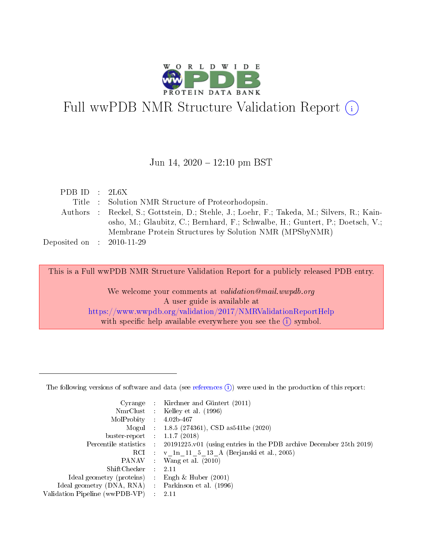

# Full wwPDB NMR Structure Validation Report (i)

#### Jun 14,  $2020 - 12:10$  pm BST

| PDBID : 2L6X                |                                                                                            |
|-----------------------------|--------------------------------------------------------------------------------------------|
|                             | Title : Solution NMR Structure of Proteorhodopsin.                                         |
|                             | Authors : Reckel, S.; Gottstein, D.; Stehle, J.; Loehr, F.; Takeda, M.; Silvers, R.; Kain- |
|                             | osho, M.; Glaubitz, C.; Bernhard, F.; Schwalbe, H.; Guntert, P.; Doetsch, V.;              |
|                             | Membrane Protein Structures by Solution NMR (MPSbyNMR)                                     |
| Deposited on : $2010-11-29$ |                                                                                            |
|                             |                                                                                            |

This is a Full wwPDB NMR Structure Validation Report for a publicly released PDB entry.

We welcome your comments at *validation@mail.wwpdb.org* A user guide is available at <https://www.wwpdb.org/validation/2017/NMRValidationReportHelp> with specific help available everywhere you see the  $(i)$  symbol.

The following versions of software and data (see [references](https://www.wwpdb.org/validation/2017/NMRValidationReportHelp#references)  $(i)$ ) were used in the production of this report:

|                                                     |                          | Cyrange : Kirchner and Güntert (2011)                                                      |
|-----------------------------------------------------|--------------------------|--------------------------------------------------------------------------------------------|
|                                                     |                          | NmrClust : Kelley et al. (1996)                                                            |
| $MolProbability$ 4.02b-467                          |                          |                                                                                            |
|                                                     |                          | Mogul : $1.8.5$ (274361), CSD as 541be (2020)                                              |
| buster-report : $1.1.7(2018)$                       |                          |                                                                                            |
|                                                     |                          | Percentile statistics : 20191225.v01 (using entries in the PDB archive December 25th 2019) |
|                                                     |                          | RCI : v 1n 11 5 13 A (Berjanski et al., 2005)                                              |
|                                                     |                          | PANAV : Wang et al. (2010)                                                                 |
| $ShiftChecker$ 2.11                                 |                          |                                                                                            |
| Ideal geometry (proteins) : Engh $\&$ Huber (2001)  |                          |                                                                                            |
| Ideal geometry (DNA, RNA) : Parkinson et al. (1996) |                          |                                                                                            |
| Validation Pipeline (wwPDB-VP)                      | $\mathcal{L}_{\rm{max}}$ | - 2.11                                                                                     |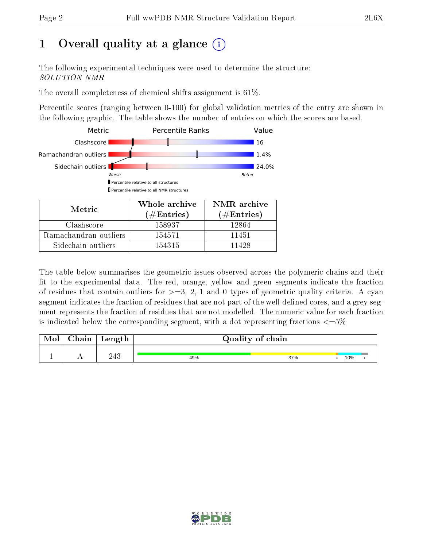# 1 [O](https://www.wwpdb.org/validation/2017/NMRValidationReportHelp#overall_quality)verall quality at a glance  $(i)$

The following experimental techniques were used to determine the structure: SOLUTION NMR

The overall completeness of chemical shifts assignment is 61%.

Percentile scores (ranging between 0-100) for global validation metrics of the entry are shown in the following graphic. The table shows the number of entries on which the scores are based.



| Metric                | (# $\rm{Entries}$ ) | $(\#Entries)$ |
|-----------------------|---------------------|---------------|
| Clashscore            | 158937              | 12864         |
| Ramachandran outliers | 154571              | 11451         |
| Sidechain outliers    | 154315              | 11428         |

The table below summarises the geometric issues observed across the polymeric chains and their fit to the experimental data. The red, orange, yellow and green segments indicate the fraction of residues that contain outliers for  $>=3, 2, 1$  and 0 types of geometric quality criteria. A cyan segment indicates the fraction of residues that are not part of the well-defined cores, and a grey segment represents the fraction of residues that are not modelled. The numeric value for each fraction is indicated below the corresponding segment, with a dot representing fractions  $\epsilon = 5\%$ 

| Mol | ${\rm Chain}$ | Length | Quality of chain |     |     |  |  |
|-----|---------------|--------|------------------|-----|-----|--|--|
|     | . .           | 243    | 49%              | 37% | 10% |  |  |

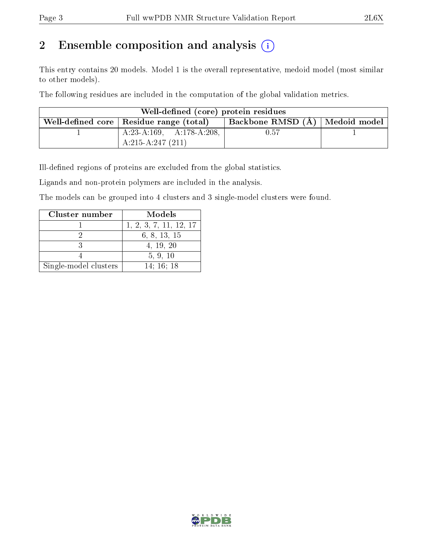# 2 Ensemble composition and analysis  $(i)$

This entry contains 20 models. Model 1 is the overall representative, medoid model (most similar to other models).

The following residues are included in the computation of the global validation metrics.

| Well-defined (core) protein residues |                                           |                                  |  |  |  |  |  |
|--------------------------------------|-------------------------------------------|----------------------------------|--|--|--|--|--|
|                                      | Well-defined core   Residue range (total) | Backbone RMSD (Å)   Medoid model |  |  |  |  |  |
|                                      | $A:23-A:169$ , $A:178-A:208$ ,            | 0.57                             |  |  |  |  |  |
|                                      | $A:215-A:247(211)$                        |                                  |  |  |  |  |  |

Ill-defined regions of proteins are excluded from the global statistics.

Ligands and non-protein polymers are included in the analysis.

The models can be grouped into 4 clusters and 3 single-model clusters were found.

| Cluster number        | Models                 |
|-----------------------|------------------------|
|                       | 1, 2, 3, 7, 11, 12, 17 |
|                       | 6, 8, 13, 15           |
|                       | 4, 19, 20              |
|                       | 5, 9, 10               |
| Single-model clusters | 14:16:18               |

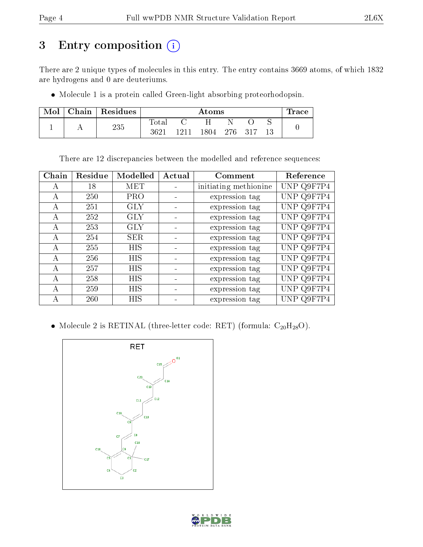# 3 Entry composition (i)

There are 2 unique types of molecules in this entry. The entry contains 3669 atoms, of which 1832 are hydrogens and 0 are deuteriums.

Molecule 1 is a protein called Green-light absorbing proteorhodopsin.

| Mol | Chain | Residues |       | Atoms |      |  |         | race |  |
|-----|-------|----------|-------|-------|------|--|---------|------|--|
|     |       | 235      | Total |       |      |  |         |      |  |
|     |       |          | 3621  | 1211  | 1804 |  | 276 317 |      |  |

There are 12 discrepancies between the modelled and reference sequences:

| Chain        | Residue | Modelled   | Actual | Comment               | Reference  |
|--------------|---------|------------|--------|-----------------------|------------|
| А            | 18      | <b>MET</b> |        | initiating methionine | UNP Q9F7P4 |
| А            | 250     | <b>PRO</b> |        | expression tag        | UNP Q9F7P4 |
| A            | 251     | <b>GLY</b> |        | expression tag        | UNP Q9F7P4 |
| $\mathbf{A}$ | 252     | <b>GLY</b> |        | expression tag        | UNP Q9F7P4 |
| A            | 253     | <b>GLY</b> |        | expression tag        | UNP Q9F7P4 |
| $\mathbf{A}$ | 254     | <b>SER</b> |        | expression tag        | UNP Q9F7P4 |
| А            | 255     | <b>HIS</b> |        | expression tag        | UNP Q9F7P4 |
| A            | 256     | <b>HIS</b> |        | expression tag        | UNP Q9F7P4 |
| А            | 257     | HIS        |        | expression tag        | UNP Q9F7P4 |
| $\mathsf{A}$ | 258     | <b>HIS</b> |        | expression tag        | UNP Q9F7P4 |
| A            | 259     | HIS        |        | expression tag        | UNP Q9F7P4 |
| А            | 260     | HIS        |        | expression tag        | UNP Q9F7P4 |

• Molecule 2 is RETINAL (three-letter code: RET) (formula:  $C_{20}H_{28}O$ ).



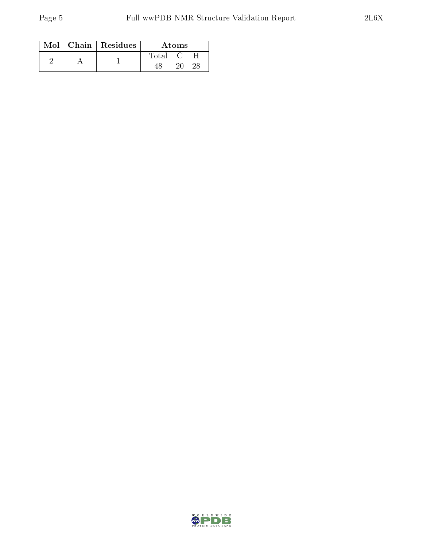|  | $Mol$   Chain   Residues | Atoms  |  |  |
|--|--------------------------|--------|--|--|
|  |                          | 'Iotal |  |  |
|  |                          |        |  |  |

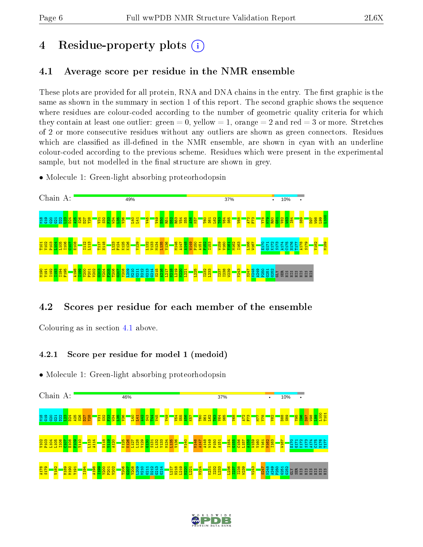# 4 Residue-property plots  $\binom{1}{1}$

#### <span id="page-5-0"></span>4.1 Average score per residue in the NMR ensemble

These plots are provided for all protein, RNA and DNA chains in the entry. The first graphic is the same as shown in the summary in section 1 of this report. The second graphic shows the sequence where residues are colour-coded according to the number of geometric quality criteria for which they contain at least one outlier: green  $= 0$ , yellow  $= 1$ , orange  $= 2$  and red  $= 3$  or more. Stretches of 2 or more consecutive residues without any outliers are shown as green connectors. Residues which are classified as ill-defined in the NMR ensemble, are shown in cyan with an underline colour-coded according to the previous scheme. Residues which were present in the experimental sample, but not modelled in the final structure are shown in grey.

• Molecule 1: Green-light absorbing proteorhodopsin



#### 4.2 Scores per residue for each member of the ensemble

Colouring as in section [4.1](#page-5-0) above.

#### 4.2.1 Score per residue for model 1 (medoid)



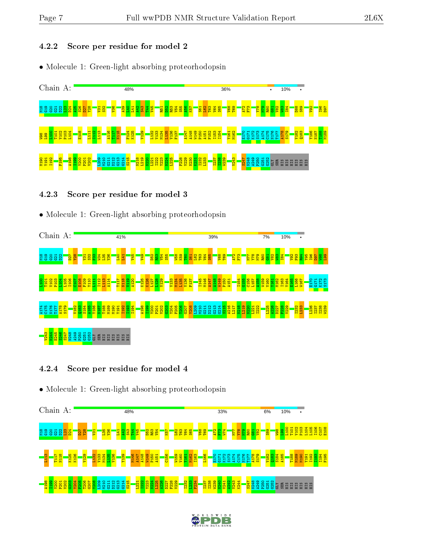#### 4.2.2 Score per residue for model 2

• Molecule 1: Green-light absorbing proteorhodopsin



#### 4.2.3 Score per residue for model 3

• Molecule 1: Green-light absorbing proteorhodopsin



#### 4.2.4 Score per residue for model 4



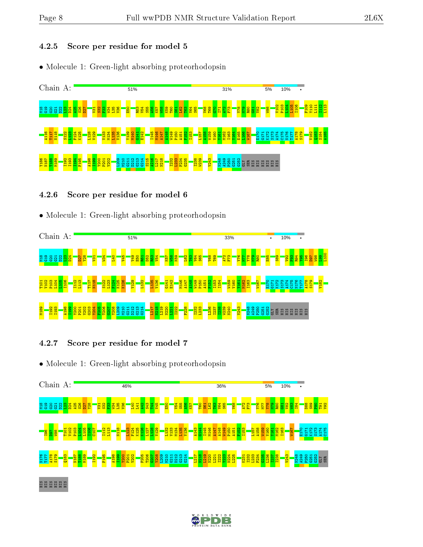#### 4.2.5 Score per residue for model 5

• Molecule 1: Green-light absorbing proteorhodopsin



#### 4.2.6 Score per residue for model 6

#### • Molecule 1: Green-light absorbing proteorhodopsin



#### 4.2.7 Score per residue for model 7



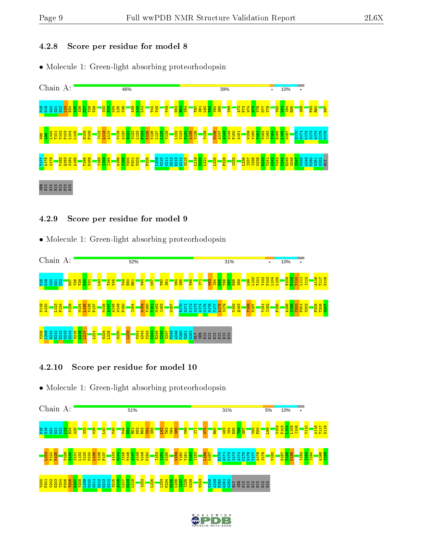#### 4.2.8 Score per residue for model 8

• Molecule 1: Green-light absorbing proteorhodopsin



#### 4.2.9 Score per residue for model 9

• Molecule 1: Green-light absorbing proteorhodopsin



#### 4.2.10 Score per residue for model 10



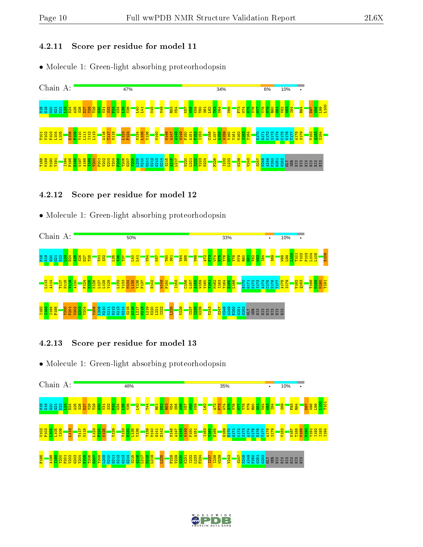#### 4.2.11 Score per residue for model 11

• Molecule 1: Green-light absorbing proteorhodopsin



#### 4.2.12 Score per residue for model 12

#### • Molecule 1: Green-light absorbing proteorhodopsin



#### 4.2.13 Score per residue for model 13



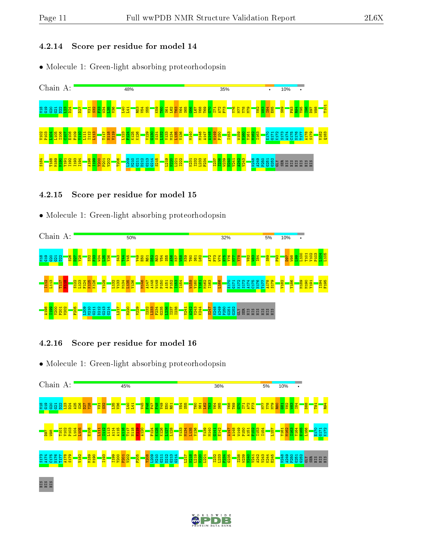#### 4.2.14 Score per residue for model 14

• Molecule 1: Green-light absorbing proteorhodopsin



#### 4.2.15 Score per residue for model 15

#### • Molecule 1: Green-light absorbing proteorhodopsin



4.2.16 Score per residue for model 16

• Molecule 1: Green-light absorbing proteorhodopsin



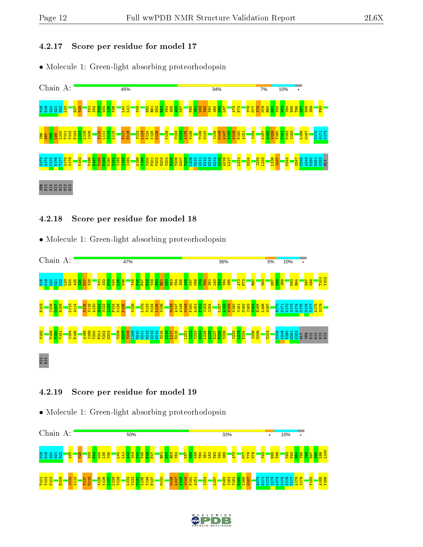#### 4.2.17 Score per residue for model 17

• Molecule 1: Green-light absorbing proteorhodopsin



#### 4.2.18 Score per residue for model 18

• Molecule 1: Green-light absorbing proteorhodopsin



#### 4.2.19 Score per residue for model 19



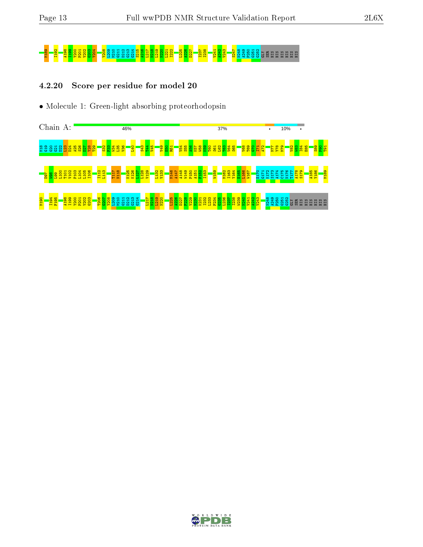# M189 I192 A198 I199 Y200 P201 V202 G203 Y204 Y208 L209 M210 G211 D212 G213 G214 S215 A216 L217 N218 L219 N220 L221 I222 L225 A226 D227 I237 I238 V241 A242 V243 S247 N248 A249 P250 G251 G252 GLY SER HIS HIS HIS HIS HIS HIS

#### 4.2.20 Score per residue for model 20



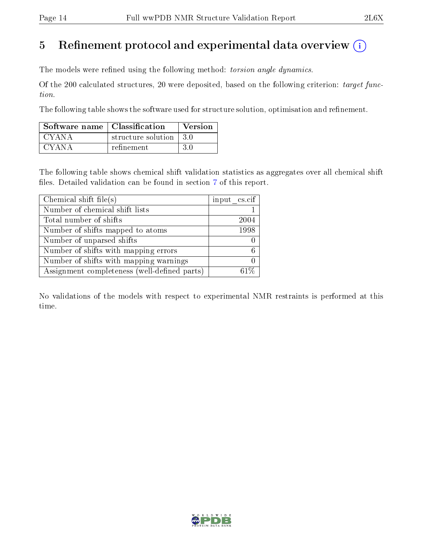# 5 Refinement protocol and experimental data overview  $\binom{1}{k}$

The models were refined using the following method: torsion angle dynamics.

Of the 200 calculated structures, 20 were deposited, based on the following criterion: target function.

The following table shows the software used for structure solution, optimisation and refinement.

| Software name   Classification |                         | Version |
|--------------------------------|-------------------------|---------|
| CYANA                          | structure solution 13.0 |         |
| CYANA                          | refinement              | 3 O     |

The following table shows chemical shift validation statistics as aggregates over all chemical shift files. Detailed validation can be found in section [7](#page-33-0) of this report.

| Chemical shift file(s)                       | input cs.cif |
|----------------------------------------------|--------------|
| Number of chemical shift lists               |              |
| Total number of shifts                       | 2004         |
| Number of shifts mapped to atoms             | 1998         |
| Number of unparsed shifts                    |              |
| Number of shifts with mapping errors         | - 6 -        |
| Number of shifts with mapping warnings       |              |
| Assignment completeness (well-defined parts) |              |

No validations of the models with respect to experimental NMR restraints is performed at this time.

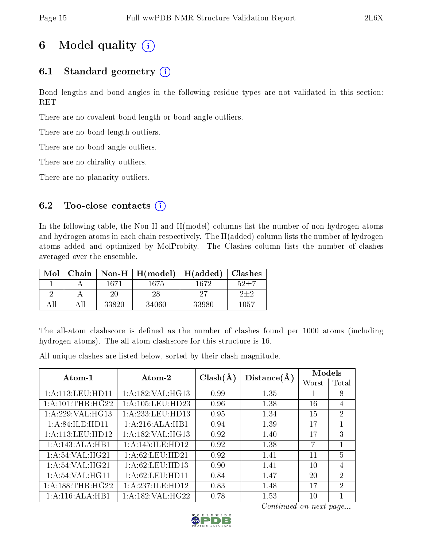# 6 Model quality  $(i)$

### 6.1 Standard geometry  $(i)$

Bond lengths and bond angles in the following residue types are not validated in this section: RET

There are no covalent bond-length or bond-angle outliers.

There are no bond-length outliers.

There are no bond-angle outliers.

There are no chirality outliers.

There are no planarity outliers.

#### 6.2 Too-close contacts  $(i)$

In the following table, the Non-H and H(model) columns list the number of non-hydrogen atoms and hydrogen atoms in each chain respectively. The H(added) column lists the number of hydrogen atoms added and optimized by MolProbity. The Clashes column lists the number of clashes averaged over the ensemble.

| Mol | Chain |       | Non-H $\mid$ H(model) | H(added) | <b>Clashes</b> |
|-----|-------|-------|-----------------------|----------|----------------|
|     |       | 1671  | 1675                  | 1672     | $52 + 7$       |
|     |       | 20    | 28                    | 97       | $2 + 2$        |
|     |       | 33820 | 34060                 | 33980    | 1057           |

The all-atom clashscore is defined as the number of clashes found per 1000 atoms (including hydrogen atoms). The all-atom clashscore for this structure is 16.

All unique clashes are listed below, sorted by their clash magnitude.

| Atom-1              | Atom-2               | $Clash(\AA)$<br>Distance(A) |      | Models |                             |
|---------------------|----------------------|-----------------------------|------|--------|-----------------------------|
|                     |                      |                             |      | Worst  | Total                       |
| 1: A:113: LEU: HD11 | 1: A: 182: VAL: HG13 | 0.99                        | 1.35 |        | 8                           |
| 1: A: 101:THR: HG22 | 1:A:105:LEU:HD23     | 0.96                        | 1.38 | 16     | $\overline{4}$              |
| 1:A:229:VAL:HG13    | 1:A:233:LEU:HD13     | 0.95                        | 1.34 | 15     | $\overline{2}$              |
| 1:A:84:ILE:HD11     | 1:A:216:ALA:HB1      | 0.94                        | 1.39 | 17     |                             |
| 1: A:113: LEU: HD12 | 1: A: 182: VAL: HG13 | 0.92                        | 1.40 | 17     | 3                           |
| 1:A:143:ALA:HB1     | 1:A:145:ILE:HD12     | 0.92                        | 1.38 | 7      | 1                           |
| 1: A:54: VAL:HG21   | 1:A:62:LEU:HD21      | 0.92                        | 1.41 | 11     | $\overline{5}$              |
| 1: A:54: VAL: HG21  | 1:A:62:LEU:HD13      | 0.90                        | 1.41 | 10     | $\overline{4}$              |
| 1:A:54:VAL:HG11     | 1: A:62:LEU:HD11     | 0.84                        | 1.47 | 20     | $\mathcal{D}$               |
| 1:A:188:THR:HG22    | 1:A:237:ILE:HD12     | 0.83                        | 1.48 | 17     | $\mathcal{D}_{\mathcal{A}}$ |
| 1:A:116:ALA:HB1     | 1: A: 182: VAL: HG22 | 0.78                        | 1.53 | 10     |                             |

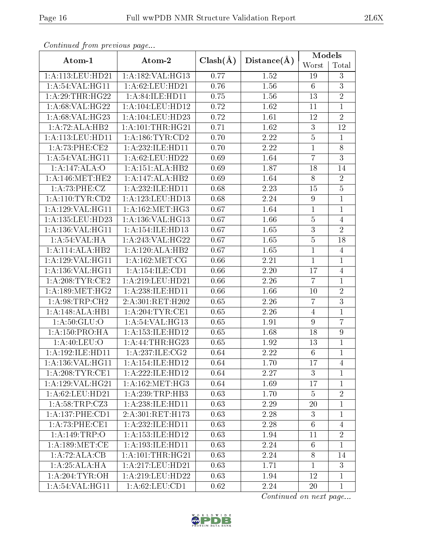| Conningea from previous page |                      |              | Distance(A)       | Models           |                  |  |
|------------------------------|----------------------|--------------|-------------------|------------------|------------------|--|
| Atom-1                       | Atom-2               | $Clash(\AA)$ |                   | Worst            | Total            |  |
| 1:A:113:LEU:HD21             | 1:A:182:VAL:HG13     | 0.77         | 1.52              | 19               | 3                |  |
| 1: A:54: VAL:HGI1            | 1: A:62:LEU:HD21     | 0.76         | 1.56              | $6\phantom{.}6$  | $\overline{3}$   |  |
| 1:A:29:THR:HG22              | 1:A:84:ILE:HD11      | 0.75         | $1.56\,$          | 13               | $\overline{2}$   |  |
| 1:A:68:VAL:HG22              | 1:A:104:LEU:HD12     | 0.72         | 1.62              | 11               | $\overline{1}$   |  |
| 1:A:68:VAL:HG23              | 1:A:104:LEU:HD23     | 0.72         | 1.61              | 12               | $\overline{2}$   |  |
| 1:A:72:ALA:HB2               | 1: A: 101:THR: HG21  | 0.71         | 1.62              | 3                | $\overline{12}$  |  |
| 1:A:113:LEU:HD11             | 1: A: 186: TYR: CD2  | 0.70         | 2.22              | $5\,$            | $\overline{1}$   |  |
| 1:A:73:PHE:CE2               | 1:A:232:ILE:HD11     | 0.70         | 2.22              | $\mathbf{1}$     | $8\,$            |  |
| 1: A:54:VAL:HG11             | 1:A:62:LEU:HD22      | 0.69         | 1.64              | $\overline{7}$   | $\overline{3}$   |  |
| 1:A:147:ALA:O                | 1:A:151:ALA:HB2      | 0.69         | 1.87              | 18               | 14               |  |
| 1: A:146:MET:HE2             | 1:A:147:ALA:HB2      | 0.69         | 1.64              | $8\,$            | $\overline{2}$   |  |
| 1:A:73:PHE:CZ                | 1:A:232:ILE:HD11     | 0.68         | 2.23              | 15               | $\overline{5}$   |  |
| 1:A:110:TYR:CD2              | 1:A:123:LEU:HD13     | 0.68         | 2.24              | $\boldsymbol{9}$ | $\overline{1}$   |  |
| 1:A:129:VAL:HG11             | 1: A:162:MET:HG3     | 0.67         | 1.64              | $\mathbf{1}$     | $\mathbf{1}$     |  |
| 1:A:135:LEU:HD23             | 1:A:136:VAL:HG13     | 0.67         | 1.66              | $\bf 5$          | $\overline{4}$   |  |
| 1:A:136:VAL:HG11             | 1:A:154:ILE:HD13     | 0.67         | 1.65              | $\overline{3}$   | $\overline{2}$   |  |
| 1:A:54:VAL:HA                | 1:A:243:VAL:HG22     | 0.67         | 1.65              | $\overline{5}$   | 18               |  |
| 1:A:114:ALA:HB2              | 1:A:120:ALA:HB2      | 0.67         | 1.65              | $\mathbf{1}$     | $\overline{4}$   |  |
| 1:A:129:VAL:HG11             | 1: A:162:MET:CG      | 0.66         | 2.21              | $\mathbf 1$      | 1                |  |
| 1:A:136:VAL:HG11             | 1:A:154:ILE:CD1      | 0.66         | $2.20\,$          | 17               | $\overline{4}$   |  |
| 1: A:208:TYR:CE2             | 1:A:219:LEU:HD21     | 0.66         | 2.26              | $\overline{7}$   | $\mathbf{1}$     |  |
| 1: A: 189:MET:HG2            | 1:A:238:ILE:HD11     | 0.66         | 1.66              | 10               | $\overline{2}$   |  |
| 1: A:98:TRP:CH2              | 2:A:301:RET:H202     | 0.65         | 2.26              | $\overline{7}$   | $\overline{3}$   |  |
| 1:A:148:ALA:HB1              | 1: A:204:TYR:CE1     | 0.65         | 2.26              | $\overline{4}$   | $\overline{1}$   |  |
| 1: A:50: GLU:O               | 1: A:54:VAL:HG13     | 0.65         | 1.91              | $9\,$            | $\overline{7}$   |  |
| 1:A:150:PRO:HA               | 1: A: 153: ILE: HD12 | 0.65         | 1.68              | 18               | $\boldsymbol{9}$ |  |
| 1: A:40: LEU:O               | 1:A:44:THR:HG23      | 0.65         | 1.92              | 13               | $\mathbf 1$      |  |
| 1:A:192:ILE:HD11             | 1:A:237:ILE:CG2      | 0.64         | $\overline{2.22}$ | $\overline{6}$   | $\overline{1}$   |  |
| 1:A:136:VAL:HG11             | 1: A:154: ILE: HD12  | 0.64         | 1.70              | 17               | 4                |  |
| 1: A:208:TYR:CE1             | 1:A:222:ILE:HD12     | 0.64         | 2.27              | 3                | $\mathbf 1$      |  |
| 1:A:129:VAL:HG21             | 1: A:162:MET:HG3     | 0.64         | 1.69              | 17               | $\mathbf 1$      |  |
| 1: A:62:LEU:HD21             | 1: A:239:TRP:HB3     | 0.63         | 1.70              | $\overline{5}$   | $\overline{2}$   |  |
| 1:A:58:TRP:CZ3               | 1: A:238: ILE: HD11  | 0.63         | 2.29              | $20\,$           | 1                |  |
| 1:A:137:PHE:CD1              | 2:A:301:RET:H173     | 0.63         | 2.28              | 3                | 1                |  |
| 1: A:73: PHE:CE1             | 1:A:232:ILE:HD11     | 0.63         | 2.28              | $6\phantom{.}6$  | $\overline{4}$   |  |
| 1: A:149:TRP:O               | 1: A: 153: ILE: HD12 | 0.63         | 1.94              | 11               | $\overline{2}$   |  |
| 1: A:189: MET:CE             | 1:A:193:ILE:HD11     | 0.63         | 2.24              | 6                | $\overline{1}$   |  |
| 1:A:72:ALA:CB                | 1: A: 101:THR: HG21  | 0.63         | 2.24              | 8                | 14               |  |
| 1:A:25:ALA:HA                | 1:A:217:LEU:HD21     | 0.63         | 1.71              | $\mathbf{1}$     | 3                |  |
| 1: A:204:TYR:OH              | 1:A:219:LEU:HD22     | 0.63         | 1.94              | 12               | $\mathbf{1}$     |  |
| 1:A:54:VAL:HG11              | 1: A:62: LEU:CD1     | 0.62         | 2.24              | $20\,$           | $\mathbf{1}$     |  |

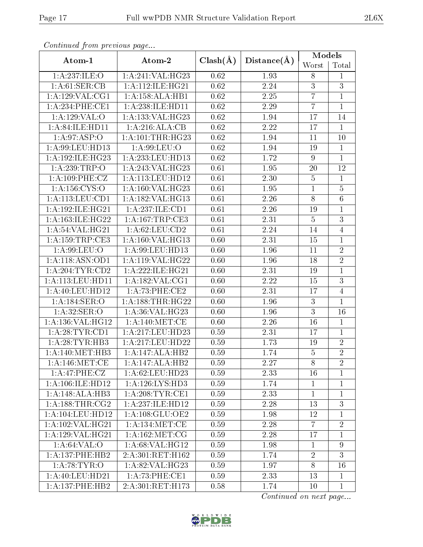| Conningea from previous page |                      |              |             | Models           |                |  |
|------------------------------|----------------------|--------------|-------------|------------------|----------------|--|
| Atom-1                       | Atom-2               | $Clash(\AA)$ | Distance(A) | Worst            | Total          |  |
| 1:A:237:ILE:O                | 1:A:241:VAL:HG23     | 0.62         | 1.93        | 8                | 1              |  |
| 1: A:61:SER:CB               | 1: A:112: ILE: HG21  | 0.62         | 2.24        | $\overline{3}$   | $\overline{3}$ |  |
| 1: A: 129: VAL: CG1          | 1:A:158:ALA:HB1      | 0.62         | 2.25        | $\overline{7}$   | $\mathbf{1}$   |  |
| 1: A:234:PHE:CE1             | 1:A:238:ILE:HD11     | 0.62         | 2.29        | $\overline{7}$   | $\mathbf{1}$   |  |
| 1:A:129:VAL:O                | 1:A:133:VAL:HG23     | 0.62         | 1.94        | 17               | 14             |  |
| 1: A:84: ILE: HD11           | 1:A:216:ALA:CB       | 0.62         | 2.22        | 17               | 1              |  |
| 1:A:97:ASP:O                 | 1: A: 101: THR: HG23 | 0.62         | 1.94        | 11               | 10             |  |
| 1:A:99:LEU:HD13              | 1: A:99: LEU:O       | 0.62         | 1.94        | 19               | $\mathbf{1}$   |  |
| 1:A:192:ILE:HG23             | 1:A:233:LEU:HD13     | 0.62         | 1.72        | $\boldsymbol{9}$ | $\overline{1}$ |  |
| 1: A:239:TRP:O               | 1:A:243:VAL:HG23     | 0.61         | 1.95        | $20\,$           | 12             |  |
| $1:A:\overline{109:PHE:CZ}$  | 1:A:113:LEU:HD12     | 0.61         | 2.30        | $\bf 5$          | $\mathbf{1}$   |  |
| 1: A: 156: CYS:O             | 1:A:160:VAL:HG23     | 0.61         | 1.95        | $\mathbf{1}$     | $\overline{5}$ |  |
| 1: A: 113: LEU: CD1          | 1:A:182:VAL:HG13     | 0.61         | 2.26        | $8\,$            | $\overline{6}$ |  |
| 1: A: 192: ILE: HG21         | 1:A:237:ILE:CD1      | 0.61         | $2.26\,$    | 19               | $\mathbf 1$    |  |
| 1:A:163:ILE:HG22             | 1:A:167:TRP:CE3      | 0.61         | 2.31        | $\bf 5$          | 3              |  |
| 1:A:54:VAL:HG21              | 1: A:62: LEU:CD2     | 0.61         | 2.24        | $14\,$           | $\overline{4}$ |  |
| 1: A: 159: TRP: CE3          | 1:A:160:VAL:HG13     | 0.60         | 2.31        | 15               | $\mathbf{1}$   |  |
| 1: A:99: LEU:O               | 1:A:99:LEU:HD13      | 0.60         | 1.96        | 11               | $\overline{2}$ |  |
| 1:A:118:ASN:OD1              | $1:$ A:119:VAL:HG22  | 0.60         | 1.96        | 18               | $\overline{2}$ |  |
| 1: A:204:TYR:CD2             | 1:A:222:ILE:HG21     | 0.60         | 2.31        | 19               | $\mathbf{1}$   |  |
| 1: A:113: LEU: HD11          | 1: A: 182: VAL: CG1  | 0.60         | 2.22        | 15               | $\overline{3}$ |  |
| 1: A:40: LEU:HD12            | 1:A:73:PHE:CE2       | 0.60         | 2.31        | 17               | $\overline{4}$ |  |
| 1:A:184:SER:O                | 1: A: 188: THR: HG22 | 0.60         | 1.96        | $\mathbf{3}$     | $\mathbf{1}$   |  |
| 1:A:32:SER:O                 | 1:A:36:VAL:HG23      | 0.60         | 1.96        | $\overline{3}$   | 16             |  |
| 1:A:136:VAL:HG12             | 1: A:140:MET:CE      | 0.60         | 2.26        | 16               | $\mathbf{1}$   |  |
| 1: A:28:TYR:CD1              | 1:A:217:LEU:HD23     | 0.59         | 2.31        | 17               | $\overline{1}$ |  |
| 1: A:28:TYR:HB3              | 1:A:217:LEU:HD22     | 0.59         | 1.73        | 19               | $\sqrt{2}$     |  |
| 1: A:140:MET:HB3             | 1:A:147:ALA:HB2      | 0.59         | 1.74        | $\overline{5}$   | $\overline{2}$ |  |
| 1: A:146:MET:CE              | 1:A:147:ALA:HB2      | 0.59         | 2.27        | 8                | $\overline{2}$ |  |
| 1:A:47:PHE:CZ                | 1:A:62:LEU:HD23      | 0.59         | 2.33        | 16               | $\mathbf 1$    |  |
| 1: A: 106: ILE: HD12         | 1: A:126: LYS: HD3   | 0.59         | 1.74        | $\mathbf{1}$     | $\mathbf 1$    |  |
| 1:A:148:ALA:HB3              | 1: A:208:TYR:CE1     | 0.59         | 2.33        | $\mathbf{1}$     | $\mathbf{1}$   |  |
| 1: A: 188: THR: CG2          | 1:A:237:ILE:HD12     | 0.59         | 2.28        | 13               | $\overline{3}$ |  |
| 1:A:104:LEU:HD12             | 1:A:108:GLU:OE2      | 0.59         | 1.98        | 12               | 1              |  |
| 1:A:102:VAL:HG21             | 1: A:134: MET:CE     | 0.59         | 2.28        | $\overline{7}$   | $\overline{2}$ |  |
| 1:A:129:VAL:HG21             | 1: A:162: MET:CG     | 0.59         | 2.28        | 17               | $\mathbf{1}$   |  |
| 1: A:64:VAL:O                | 1: A:68: VAL:HG12    | 0.59         | 1.98        | $\mathbf{1}$     | $9\phantom{.}$ |  |
| 1: A: 137: PHE: HB2          | 2:A:301:RET:H162     | 0.59         | 1.74        | $\overline{2}$   | $\overline{3}$ |  |
| 1: A:78:TYR:O                | 1: A:82:VAL:HG23     | 0.59         | 1.97        | 8                | 16             |  |
| 1: A:40:LEU:HD21             | 1:A:73:PHE:CE1       | 0.59         | 2.33        | 13               | $\mathbf{1}$   |  |
| 1: A: 137: PHE: HB2          | 2:A:301:RET:H173     | 0.58         | 1.74        | 10               | $\mathbf{1}$   |  |

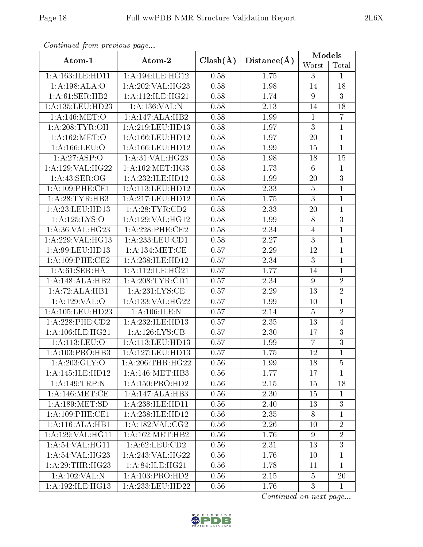| Communica from previous page |                     |              |             | Models           |                 |  |
|------------------------------|---------------------|--------------|-------------|------------------|-----------------|--|
| Atom-1                       | Atom-2              | $Clash(\AA)$ | Distance(A) | Worst            | Total           |  |
| 1:A:163:ILE:HD11             | 1:A:194:ILE:HG12    | 0.58         | 1.75        | 3                | $\mathbf{1}$    |  |
| 1:A:198:ALA:O                | 1:A:202:VAL:HG23    | 0.58         | 1.98        | 14               | 18              |  |
| 1: A:61: SER: HB2            | 1:A:112:ILE:HG21    | 0.58         | 1.74        | $9\phantom{.0}$  | 3               |  |
| 1: A: 135: LEU: HD23         | 1:A:136:VAL:N       | 0.58         | 2.13        | 14               | 18              |  |
| 1:A:146:MET:O                | 1:A:147:ALA:HB2     | 0.58         | 1.99        | $\mathbf{1}$     | $\overline{7}$  |  |
| 1: A:208:TYR:OH              | 1:A:219:LEU:HD13    | 0.58         | 1.97        | $\overline{3}$   | $\mathbf{1}$    |  |
| 1: A:162:MET:O               | 1:A:166:LEU:HD12    | 0.58         | 1.97        | <b>20</b>        | $\overline{1}$  |  |
| 1: A: 166: LEU: O            | 1:A:166:LEU:HD12    | 0.58         | 1.99        | 15               | $\mathbf{1}$    |  |
| 1:A:27:ASP:O                 | 1: A:31: VAL:HG23   | 0.58         | 1.98        | 18               | $\overline{15}$ |  |
| 1:A:129:VAL:HG22             | 1: A:162:MET:HG3    | 0.58         | 1.73        | $\,6\,$          | $\mathbf{1}$    |  |
| 1: A:43: SER:OG              | 1:A:232:ILE:HD12    | 0.58         | 1.99        | $20\,$           | $\overline{3}$  |  |
| $1: A:109:$ PHE:CE1          | 1:A:113:LEU:HD12    | 0.58         | 2.33        | $\bf 5$          | $\mathbf{1}$    |  |
| 1:A:28:TYR:HB3               | 1:A:217:LEU:HD12    | 0.58         | 1.75        | $\overline{3}$   | $\mathbf{1}$    |  |
| 1:A:23:LEU:HD13              | 1: A:28:TYR:CD2     | 0.58         | 2.33        | 20               | $\mathbf{1}$    |  |
| 1:A:125:LYS:O                | 1:A:129:VAL:HG12    | 0.58         | 1.99        | $8\,$            | $\overline{3}$  |  |
| 1:A:36:VAL:HG23              | 1:A:228:PHE:CE2     | 0.58         | 2.34        | $\overline{4}$   | $\mathbf{1}$    |  |
| 1:A:229:VAL:HG13             | 1: A: 233: LEU: CD1 | 0.58         | 2.27        | $\mathbf{3}$     | $\mathbf{1}$    |  |
| 1: A:99: LEU: HD13           | 1: A: 134: MET: CE  | 0.57         | 2.29        | 12               | $\mathbf{1}$    |  |
| 1:A:109:PHE:CE2              | 1:A:238:ILE:HD12    | 0.57         | 2.34        | 3                | $\mathbf{1}$    |  |
| 1: A:61:SER:HA               | 1:A:112:ILE:HG21    | 0.57         | 1.77        | 14               | $\mathbf{1}$    |  |
| 1:A:148:ALA:HB2              | 1: A:208:TYR:CD1    | 0.57         | 2.34        | $\boldsymbol{9}$ | $\overline{2}$  |  |
| 1:A:72:ALA:HB1               | 1: A:231:LYS:CE     | 0.57         | 2.29        | 13               | $\overline{2}$  |  |
| 1: A:129: VAL:O              | 1:A:133:VAL:HG22    | 0.57         | 1.99        | 10               | $\mathbf{1}$    |  |
| 1:A:105:LEU:HD23             | 1:A:106:ILE:N       | 0.57         | 2.14        | $\overline{5}$   | $\overline{2}$  |  |
| $1: A:228:$ PHE: $CD2$       | 1:A:232:ILE:HD13    | 0.57         | 2.35        | 13               | $\overline{4}$  |  |
| 1:A:106:ILE:HG21             | 1:A:126:LYS:CB      | 0.57         | 2.30        | 17               | $\overline{3}$  |  |
| 1: A:113: LEU:O              | 1:A:113:LEU:HD13    | 0.57         | 1.99        | $\overline{7}$   | $\overline{3}$  |  |
| 1:A:103:PRO:HB3              | 1:A:127:LEU:HD13    | 0.57         | 1.75        | 12               | $\overline{1}$  |  |
| 1: A:203: GLY:O              | 1: A:206:THR:HG22   | 0.56         | 1.99        | 18               | $\overline{5}$  |  |
| 1:A:145:ILE:HD12             | 1: A:146:MET:HB3    | 0.56         | 1.77        | 17               | $\mathbf{1}$    |  |
| 1:A:149:TRP:N                | 1: A: 150: PRO: HD2 | 0.56         | 2.15        | 15               | 18              |  |
| 1: A:146:MET:CE              | 1:A:147:ALA:HB3     | 0.56         | 2.30        | 15               | $\mathbf{1}$    |  |
| 1: A: 189: MET: SD           | 1: A:238: ILE: HD11 | 0.56         | 2.40        | 13               | $\overline{3}$  |  |
| $1: A:109:$ PHE:CE1          | 1:A:238:ILE:HD12    | 0.56         | 2.35        | 8                | $\mathbf{1}$    |  |
| 1:A:116:ALA:HB1              | 1: A:182: VAL: CG2  | 0.56         | 2.26        | 10               | $\overline{2}$  |  |
| 1: A: 129: VAL: HG11         | 1: A:162:MET:HB2    | 0.56         | 1.76        | $9\phantom{.0}$  | $\overline{2}$  |  |
| 1: A:54: VAL:HGI1            | 1: A:62:LEU:CD2     | 0.56         | 2.31        | 13               | $\overline{3}$  |  |
| 1: A:54:VAL:HG23             | 1:A:243:VAL:HG22    | 0.56         | 1.76        | 10               | $\mathbf{1}$    |  |
| 1:A:29:THR:HG23              | 1: A:84: ILE:HG21   | 0.56         | 1.78        | 11               | $\mathbf{1}$    |  |
| 1:A:102:VAL:N                | 1: A: 103: PRO: HD2 | 0.56         | 2.15        | $\overline{5}$   | 20              |  |
| 1:A:192:ILE:HG13             | 1:A:233:LEU:HD22    | 0.56         | 1.76        | 3                | $\mathbf{1}$    |  |

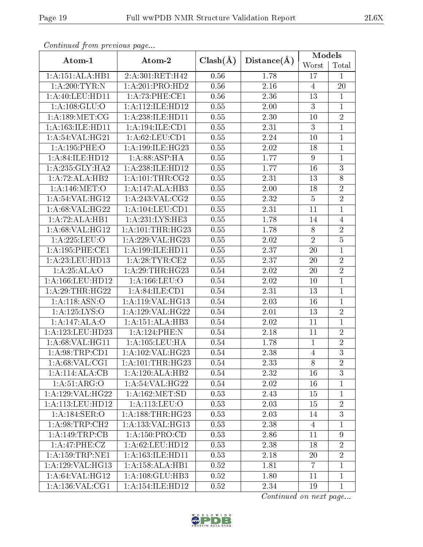| Continual from previous page |                      |              | Distance(A)       | Models           |                |  |
|------------------------------|----------------------|--------------|-------------------|------------------|----------------|--|
| Atom-1                       | Atom-2               | $Clash(\AA)$ |                   | Worst            | Total          |  |
| 1:A:151:ALA:HB1              | 2:A:301:RET:H42      | 0.56         | 1.78              | 17               | $\mathbf{1}$   |  |
| 1: A:200:TYR:N               | 1:A:201:PRO:HD2      | 0.56         | $\overline{2.16}$ | $\overline{4}$   | 20             |  |
| $1: A:40:$ LEU:HD11          | 1:A:73:PHE:CE1       | 0.56         | 2.36              | 13               | $\mathbf{1}$   |  |
| 1: A: 108: GLU:O             | 1:A:112:ILE:HD12     | 0.55         | 2.00              | 3                | $\mathbf{1}$   |  |
| 1: A: 189: MET: CG           | 1:A:238:ILE:HD11     | 0.55         | 2.30              | 10               | $\overline{2}$ |  |
| 1: A: 163: ILE: HD11         | 1:A:194:ILE:CD1      | 0.55         | 2.31              | 3                | $\mathbf{1}$   |  |
| 1:A:54:VAL:HG21              | 1: A:62:LEU:CD1      | 0.55         | 2.24              | 10               | $\overline{1}$ |  |
| 1:A:195:PHE:O                | 1:A:199:ILE:HG23     | 0.55         | 2.02              | 18               | $\mathbf{1}$   |  |
| 1:A:84:ILE:HD12              | 1:A:88:ASP:HA        | 0.55         | 1.77              | $\boldsymbol{9}$ | $\mathbf{1}$   |  |
| 1: A:235: GLY:HA2            | 1:A:238:ILE:HD12     | 0.55         | 1.77              | 16               | 3              |  |
| 1:A:72:ALA:HB2               | 1: A:101:THR:CG2     | 0.55         | 2.31              | 13               | $\overline{8}$ |  |
| 1:A:146:MET:O                | 1:A:147:ALA:HB3      | 0.55         | 2.00              | 18               | $\sqrt{2}$     |  |
| 1:A:54:VAL:HG12              | 1:A:243:VAL:CG2      | 0.55         | 2.32              | $\overline{5}$   | $\overline{2}$ |  |
| 1:A:68:VAL:HG22              | 1:A:104:LEU:CD1      | 0.55         | 2.31              | 11               | $\mathbf 1$    |  |
| 1:A:72:ALA:HB1               | 1:A:231:LYS:HE3      | 0.55         | 1.78              | 14               | $\overline{4}$ |  |
| 1: A:68: VAL:HG12            | 1: A: 101: THR: HG23 | 0.55         | 1.78              | $8\,$            | $\overline{2}$ |  |
| 1:A:225:LEU:O                | 1:A:229:VAL:HG23     | 0.55         | 2.02              | $\sqrt{2}$       | $\overline{5}$ |  |
| 1:A:195:PHE:CE1              | 1: A: 199: ILE: HD11 | 0.55         | 2.37              | 20               | $\overline{1}$ |  |
| 1: A: 23: LEU: HD13          | 1: A:28:TYR:CE2      | 0.55         | 2.37              | 20               | $\overline{2}$ |  |
| 1:A:25:ALA:O                 | 1:A:29:THR:HG23      | 0.54         | 2.02              | 20               | $\overline{2}$ |  |
| 1:A:166:LEU:HD12             | 1: A: 166: LEU: O    | 0.54         | 2.02              | 10               | $\mathbf{1}$   |  |
| 1: A:29:THR:HG22             | 1: A:84: ILE: CD1    | 0.54         | 2.31              | 13               | $\overline{1}$ |  |
| 1:A:118:ASN:O                | 1:A:119:VAL:HG13     | $0.54\,$     | 2.03              | 16               | $\mathbf{1}$   |  |
| 1: A: 125: LYS: O            | 1:A:129:VAL:HG22     | 0.54         | 2.01              | 13               | $\overline{2}$ |  |
| 1:A:147:ALA:O                | 1:A:151:ALA:HB3      | 0.54         | 2.02              | 11               | $\mathbf{1}$   |  |
| 1:A:123:LEU:HD23             | 1:A:124:PHE:N        | 0.54         | 2.18              | 11               | $\overline{2}$ |  |
| 1: A:68: VAL:HGI1            | 1: A: 105: LEU: HA   | 0.54         | 1.78              | $\mathbf{1}$     | $\overline{2}$ |  |
| 1: A:98:TRP:CD1              | 1: A:102: VAL:HG23   | 0.54         | $\overline{2.38}$ | $\overline{4}$   | $\overline{3}$ |  |
| 1: A:68: VAL:CG1             | 1: A: 101:THR: HG23  | 0.54         | 2.33              | 8                | $\overline{2}$ |  |
| 1:A:114:ALA:CB               | 1:A:120:ALA:HB2      | 0.54         | 2.32              | 16               | $\overline{3}$ |  |
| 1: A:51: ARG:O               | 1: A:54:VAL:HG22     | 0.54         | 2.02              | 16               | $\mathbf{1}$   |  |
| 1:A:129:VAL:HG22             | 1: A: 162: MET: SD   | 0.53         | 2.43              | 15               | $\overline{1}$ |  |
| 1: A:113: LEU: HD12          | 1: A: 113: LEU: O    | 0.53         | 2.03              | 15               | $\sqrt{2}$     |  |
| 1:A:184:SER:O                | 1:A:188:THR:HG23     | 0.53         | 2.03              | 14               | 3              |  |
| 1: A:98:TRP:CH2              | 1: A: 133: VAL: HG13 | 0.53         | 2.38              | 4                | 1              |  |
| $1:A:149:TRP:\overline{CB}$  | 1: A: 150: PRO:CD    | 0.53         | 2.86              | 11               | $\overline{9}$ |  |
| 1:A:47:PHE:CZ                | 1: A:62:LEU:HD12     | 0.53         | 2.38              | 18               | $\overline{2}$ |  |
| 1: A: 159: TRP: NE1          | 1:A:163:ILE:HD11     | 0.53         | 2.18              | 20               | $\overline{2}$ |  |
| 1:A:129:VAL:HG13             | 1:A:158:ALA:HB1      | 0.52         | 1.81              | $\overline{7}$   | $\mathbf 1$    |  |
| 1: A:64:VAL:HG12             | 1:A:108:GLU:HB3      | 0.52         | 1.80              | 11               | $\mathbf{1}$   |  |
| 1: A: 136: VAL: CG1          | 1:A:154:ILE:HD12     | 0.52         | 2.34              | 19               | $\mathbf 1$    |  |

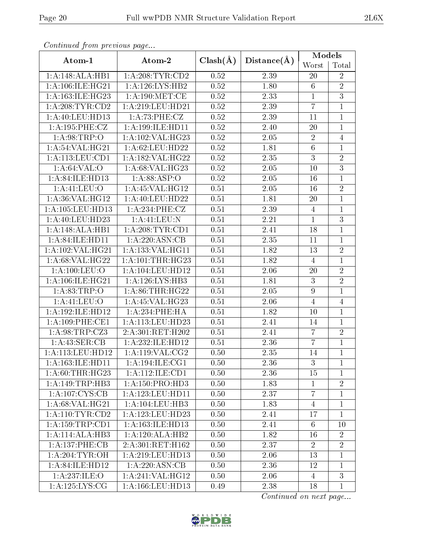| Comunaca jiom previous page        |                      |              |                   | Models           |                |  |
|------------------------------------|----------------------|--------------|-------------------|------------------|----------------|--|
| Atom-1                             | Atom-2               | $Clash(\AA)$ | Distance(A)       | Worst            | Total          |  |
| 1:A:148:ALA:HB1                    | 1: A:208:TYR:CD2     | 0.52         | 2.39              | 20               | $\overline{2}$ |  |
| 1:A:106:ILE:HG21                   | 1: A: 126: LYS: HB2  | 0.52         | 1.80              | $6\phantom{.}6$  | $\overline{2}$ |  |
| 1: A: 163: ILE: HG23               | 1: A:190:MET:CE      | 0.52         | 2.33              | $\mathbf{1}$     | $\overline{3}$ |  |
| 1: A:208:TYR:CD2                   | 1:A:219:LEU:HD21     | 0.52         | 2.39              | $\overline{7}$   | $\mathbf{1}$   |  |
| 1: A:40:LEU:HD13                   | 1: A:73:PHE: CZ      | 0.52         | 2.39              | 11               | $\mathbf{1}$   |  |
| 1:A:195:PHE:CZ                     | 1:A:199:ILE:HD11     | 0.52         | 2.40              | 20               | $\mathbf{1}$   |  |
| 1: A:98:TRP:O                      | 1:A:102:VAL:HG23     | 0.52         | 2.05              | $\sqrt{2}$       | $\overline{4}$ |  |
| 1:A:54:VAL:HG21                    | 1:A:62:LEU:HD22      | 0.52         | 1.81              | $\,6$            | $\mathbf{1}$   |  |
| 1:A:113:LEU:CD1                    | 1:A:182:VAL:HG22     | 0.52         | 2.35              | $\overline{3}$   | $\overline{2}$ |  |
| 1: A:64:VAL:O                      | 1: A:68: VAL:HG23    | 0.52         | 2.05              | 10               | $\overline{3}$ |  |
| 1:A:84:ILE:HD13                    | 1: A:88: ASP:O       | 0.52         | 2.05              | 16               | $\overline{1}$ |  |
| 1: A: 41: LEU: O                   | 1: A:45: VAL:HG12    | 0.51         | 2.05              | 16               | $\overline{2}$ |  |
| 1:A:36:VAL:HG12                    | 1:A:40:LEU:HD22      | 0.51         | 1.81              | 20               | $\mathbf{1}$   |  |
| 1: A: 105: LEU: HD13               | 1: A:234:PHE:CZ      | 0.51         | 2.39              | $\overline{4}$   | $\mathbf{1}$   |  |
| 1:A:40:LEU:HD23                    | 1:A:41:LEU:N         | 0.51         | 2.21              | $\mathbf{1}$     | $\overline{3}$ |  |
| 1:A:148:ALA:HB1                    | 1: A:208:TYR:CD1     | 0.51         | $\overline{2}.41$ | 18               | $\mathbf{1}$   |  |
| 1:A:84:ILE:HD11                    | 1:A:220:ASN:CB       | 0.51         | 2.35              | 11               | $\mathbf{1}$   |  |
| 1:A:102:VAL:HG21                   | 1:A:133:VAL:HG11     | 0.51         | 1.82              | 13               | $\overline{2}$ |  |
| 1:A:68:VAL:HG22                    | 1: A: 101: THR: HG23 | 0.51         | 1.82              | $\overline{4}$   | $\overline{1}$ |  |
| 1:A:100:LEU:O                      | 1:A:104:LEU:HD12     | 0.51         | 2.06              | 20               | $\overline{2}$ |  |
| 1: A:106: ILE: HG21                | 1: A:126: LYS: HB3   | 0.51         | 1.81              | $\overline{3}$   | $\overline{2}$ |  |
| 1:A:83:TRP:O                       | 1: A:86:THR:HG22     | 0.51         | 2.05              | $\boldsymbol{9}$ | $\mathbf{1}$   |  |
| 1: A: 41: LEU: O                   | 1:A:45:VAL:HG23      | 0.51         | 2.06              | $\overline{4}$   | $\overline{4}$ |  |
| 1:A:192:ILE:HD12                   | 1:A:234:PHE:HA       | 0.51         | 1.82              | 10               | $\overline{1}$ |  |
| $1: A:109:$ PHE:CE1                | 1:A:113:LEU:HD23     | 0.51         | 2.41              | 14               | $\mathbf{1}$   |  |
| 1: A:98:TRP: CZ3                   | 2:A:301:RET:H202     | 0.51         | 2.41              | $\overline{7}$   | $\overline{2}$ |  |
| 1: A:43: SER:CB                    | 1:A:232:ILE:HD12     | 0.51         | 2.36              | $\overline{7}$   | $\mathbf{1}$   |  |
| 1: A:113: LEU: HD12                | 1:A:119:VAL:CG2      | 0.50         | 2.35              | 14               | $\overline{1}$ |  |
| 1: A: 163: ILE: HD11               | 1: A:194: ILE: CG1   | 0.50         | 2.36              | 3                | 1              |  |
| 1: A:60:THR:HG23                   | 1:A:112:ILE:CD1      | 0.50         | 2.36              | 15               | $\mathbf{1}$   |  |
| 1:A:149:TRP:HB3                    | 1: A: 150: PRO: HD3  | 0.50         | 1.83              | $\mathbf{1}$     | $\sqrt{2}$     |  |
| $1:A:107:\overline{\text{CYS:CB}}$ | 1:A:123:LEU:HD11     | 0.50         | 2.37              | $\overline{7}$   | $\mathbf{1}$   |  |
| 1: A:68: VAL:HG21                  | 1:A:104:LEU:HB3      | 0.50         | 1.83              | 4                | 1              |  |
| 1: A:110: TYR: CD2                 | 1:A:123:LEU:HD23     | 0.50         | 2.41              | 17               | $\mathbf{1}$   |  |
| 1: A: 159: TRP: CD1                | 1: A: 163: ILE: HD13 | 0.50         | 2.41              | 6                | 10             |  |
| 1:A:114:ALA:HB3                    | 1:A:120:ALA:HB2      | 0.50         | 1.82              | 16               | $\overline{2}$ |  |
| 1:A:137:PHE:CB                     | 2:A:301:RET:H162     | 0.50         | 2.37              | $\overline{2}$   | $\overline{2}$ |  |
| 1: A:204:TYR:OH                    | 1:A:219:LEU:HD13     | 0.50         | 2.06              | 13               | $\mathbf{1}$   |  |
| 1: A:84: ILE: HD12                 | 1:A:220:ASN:CB       | 0.50         | 2.36              | 12               | $\mathbf{1}$   |  |
| 1: A:237: ILE:O                    | 1:A:241:VAL:HG12     | 0.50         | 2.06              | $\overline{4}$   | $\overline{3}$ |  |
| 1:A:125:LYS:CG                     | 1:A:166:LEU:HD13     | 0.49         | 2.38              | 18               | $\mathbf{1}$   |  |

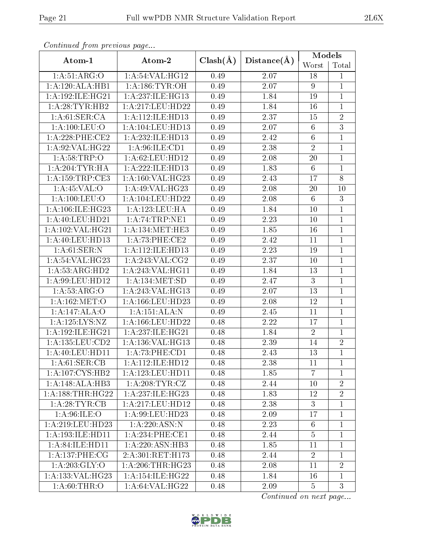| Continuea from previous page |                               |              |             | Models          |                |  |
|------------------------------|-------------------------------|--------------|-------------|-----------------|----------------|--|
| Atom-1                       | Atom-2                        | $Clash(\AA)$ | Distance(A) | Worst           | Total          |  |
| 1: A:51: ARG:O               | 1:A:54:VAL:HG12               | 0.49         | 2.07        | 18              | $\mathbf 1$    |  |
| 1:A:120:ALA:HB1              | 1: A: 186: TYR: OH            | 0.49         | 2.07        | 9               | 1              |  |
| 1: A: 192: ILE: HG21         | 1: A:237: ILE: HG13           | 0.49         | 1.84        | 19              | $\mathbf{1}$   |  |
| 1: A:28:TYR:HB2              | 1:A:217:LEU:HD22              | 0.49         | 1.84        | 16              | $\mathbf{1}$   |  |
| 1: A:61:SER:CA               | 1:A:112:ILE:HD13              | 0.49         | 2.37        | 15              | $\overline{2}$ |  |
| 1: A: 100: LEU: O            | 1:A:104:LEU:HD13              | 0.49         | 2.07        | $\,6\,$         | $\overline{3}$ |  |
| $1: A:228:$ PHE:CE2          | 1:A:232:ILE:HD13              | 0.49         | 2.42        | $\overline{6}$  | $\mathbf{1}$   |  |
| 1:A:92:VAL:HG22              | 1: A:96: ILE: CD1             | 0.49         | 2.38        | $\sqrt{2}$      | $\mathbf{1}$   |  |
| 1: A:58:TRP:O                | 1:A:62:LEU:HD12               | 0.49         | 2.08        | 20              | $\mathbf{1}$   |  |
| 1: A:204:TYR:HA              | 1:A:222:ILE:HD13              | 0.49         | 1.83        | $\,6\,$         | $\mathbf{1}$   |  |
| 1: A: 159: TRP: CE3          | 1:A:160:VAL:HG23              | 0.49         | 2.43        | 17              | $\overline{8}$ |  |
| 1: A:45:VAL:O                | 1: A:49: VAL:HG23             | 0.49         | 2.08        | 20              | 10             |  |
| 1:A:100:LEU:O                | 1:A:104:LEU:HD22              | 0.49         | 2.08        | $\,6\,$         | $\overline{3}$ |  |
| 1:A:106:ILE:HG23             | 1:A:123:LEU:HA                | 0.49         | 1.84        | 10              | $\overline{1}$ |  |
| 1:A:40:LEU:HD21              | 1:A:74:TRP:NE1                | 0.49         | 2.23        | 10              | $\mathbf{1}$   |  |
| 1: A: 102: VAL: HG21         | 1: A:134:MET:HE3              | 0.49         | 1.85        | 16              | $\overline{1}$ |  |
| 1: A:40: LEU:HD13            | 1: A:73:PHE:CE2               | 0.49         | 2.42        | 11              | $\mathbf{1}$   |  |
| 1: A:61:SER:N                | 1:A:112:ILE:HD13              | 0.49         | 2.23        | 19              | $\mathbf 1$    |  |
| 1:A:54:VAL:HG23              | 1:A:243:VAL:CG2               | 0.49         | 2.37        | 10              | $\mathbf{1}$   |  |
| 1: A: 53: ARG: HD2           | 1:A:243:VAL:HG11              | 0.49         | 1.84        | 13              | $\mathbf{1}$   |  |
| 1:A:99:LEU:HD12              | 1:A:134:MET:SD                | 0.49         | 2.47        | 3               | $\mathbf{1}$   |  |
| 1: A:53: ARG:O               | 1:A:243:VAL:HG13              | 0.49         | 2.07        | 13              | $\mathbf{1}$   |  |
| 1:A:162:MET:O                | 1:A:166:LEU:HD23              | 0.49         | 2.08        | 12              | $\mathbf{1}$   |  |
| 1:A:147:ALA:O                | 1:A:151:ALA:N                 | 0.49         | 2.45        | 11              | $\overline{1}$ |  |
| 1:A:125:LYS:NZ               | 1:A:166:LEU:HD22              | 0.48         | 2.22        | 17              | $\mathbf{1}$   |  |
| 1:A:192:ILE:HG21             | 1:A:237:ILE:HG21              | 0.48         | 1.84        | $\overline{2}$  | $\overline{1}$ |  |
| 1: A: 135: LEU: CD2          | 1:A:136:VAL:HG13              | 0.48         | 2.39        | 14              | $\sqrt{2}$     |  |
| 1:A:40:LEU:HD11              | 1:A:73:PHE:CD1                | 0.48         | 2.43        | 13              | $\overline{1}$ |  |
| 1: A:61:SER:CB               | 1: A:112: ILE: HD12           | 0.48         | 2.38        | 11              | $\mathbf{1}$   |  |
| 1:A:107:CYS:HB2              | 1:A:123:LEU:HDI1              | 0.48         | 1.85        | $\overline{7}$  | $\overline{1}$ |  |
| 1:A:148:ALA:HB3              | 1: A:208:TYR:CZ               | 0.48         | 2.44        | 10              | $\overline{2}$ |  |
| 1:A:188:THR:HG22             | 1:A:237:ILE:HG23              | 0.48         | 1.83        | 12              | $\overline{2}$ |  |
| 1:A:28:TYR:CB                | 1:A:217:LEU:HD12              | 0.48         | 2.38        | $\mathbf{3}$    | 1              |  |
| 1: A:96: ILE: O              | 1:A:99:LEU:HD23               | 0.48         | 2.09        | 17              | $\overline{1}$ |  |
| 1: A:219: LEU: HD23          | 1: A:220: ASN:N               | 0.48         | 2.23        | $6\phantom{.}6$ | $\mathbf 1$    |  |
| 1:A:193:ILE:HD11             | 1:A:234:PHE:CE1               | 0.48         | 2.44        | $\overline{5}$  | $\overline{1}$ |  |
| 1:A:84:ILE:HD11              | 1:A:220:ASN:HB3               | 0.48         | 1.85        | 11              | $\overline{1}$ |  |
| 1:A:137:PHE:CG               | 2:A:301:RET:H173              | 0.48         | 2.44        | $\overline{2}$  | $\mathbf 1$    |  |
| 1: A:203: GLY:O              | 1: A:206:THR:HG23             | 0.48         | 2.08        | 11              | $\overline{2}$ |  |
| 1:A:133:VAL:HG23             | $1:A:\overline{154:1LE:HG22}$ | 0.48         | 1.84        | 16              | $\overline{1}$ |  |
| 1: A:60:THR:O                | 1: A:64:VAL:HG22              | 0.48         | 2.09        | $\overline{5}$  | $\overline{3}$ |  |

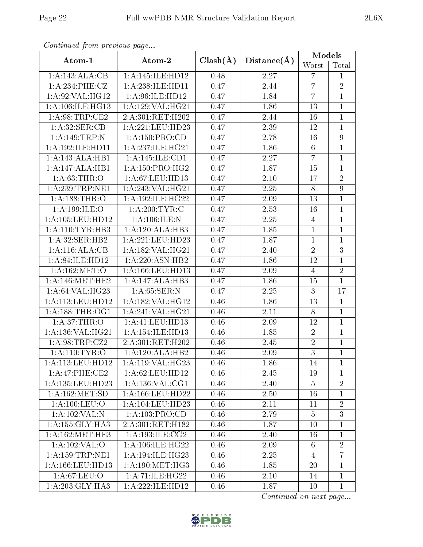| Conningea from previous page              |                      |              | Distance(A) | Models         |                  |  |
|-------------------------------------------|----------------------|--------------|-------------|----------------|------------------|--|
| Atom-1                                    | Atom-2               | $Clash(\AA)$ |             | Worst          | Total            |  |
| 1:A:143:ALA:CB                            | 1:A:145:ILE:HD12     | 0.48         | 2.27        | $\overline{7}$ | 1                |  |
| 1: A:234:PHE:CZ                           | 1:A:238:ILE:HD11     | 0.47         | 2.44        | $\overline{7}$ | $\overline{2}$   |  |
| 1: A:92: VAL: HG12                        | 1:A:96:ILE:HD12      | 0.47         | 1.84        | $\overline{7}$ | $\mathbf{1}$     |  |
| 1:A:106:ILE:HG13                          | 1:A:129:VAL:HG21     | 0.47         | 1.86        | 13             | $\mathbf{1}$     |  |
| 1: A:98:TRP:CE2                           | 2:A:301:RET:H202     | 0.47         | 2.44        | 16             | $\mathbf{1}$     |  |
| 1: A:32: SER:CB                           | 1:A:221:LEU:HD23     | 0.47         | 2.39        | 12             | $\mathbf{1}$     |  |
| 1:A:149:TRP:N                             | 1:A:150:PRO:CD       | 0.47         | 2.78        | 16             | $\overline{9}$   |  |
| 1:A:192:ILE:HD11                          | 1:A:237:ILE:HG21     | 0.47         | 1.86        | $6\,$          | $\mathbf{1}$     |  |
| 1:A:143:ALA:HB1                           | 1:A:145:ILE:CD1      | 0.47         | 2.27        | $\overline{7}$ | $\overline{1}$   |  |
| 1:A:147:ALA:HB1                           | 1: A: 150: PRO:HG2   | 0.47         | 1.87        | 15             | 1                |  |
| 1: A:63:THR:O                             | 1: A:67:LEU:HD13     | 0.47         | $2.10\,$    | 17             | $\overline{2}$   |  |
| 1: A:239:TRP:NE1                          | 1: A:243: VAL:HG21   | 0.47         | 2.25        | $8\,$          | $\boldsymbol{9}$ |  |
| $1: A: 188 \cdot \overline{\text{THR}:O}$ | 1:A:192:ILE:HG22     | 0.47         | 2.09        | 13             | $\mathbf{1}$     |  |
| 1:A:199:ILE:O                             | 1: A:200:TYR:C       | 0.47         | 2.53        | 16             | $\mathbf{1}$     |  |
| 1:A:105:LEU:HD12                          | 1:A:106:ILE:N        | 0.47         | $2.25\,$    | $\overline{4}$ | $\mathbf{1}$     |  |
| 1: A:110: TYR: HB3                        | 1:A:120:ALA:HB3      | 0.47         | 1.85        | $\,1\,$        | $\mathbf{1}$     |  |
| 1: A:32: SER: HB2                         | 1:A:221:LEU:HD23     | 0.47         | 1.87        | $\mathbf{1}$   | $\mathbf{1}$     |  |
| 1:A:116:ALA:CB                            | 1:A:182:VAL:HG21     | 0.47         | 2.40        | $\sqrt{2}$     | $\overline{3}$   |  |
| 1:A:84:ILE:HD12                           | 1:A:220:ASN:HB2      | 0.47         | 1.86        | 12             | 1                |  |
| 1: A:162:MET:O                            | 1: A: 166: LEU: HD13 | 0.47         | 2.09        | $\overline{4}$ | $\overline{2}$   |  |
| 1: A:146:MET:HE2                          | 1:A:147:ALA:HB3      | 0.47         | 1.86        | 15             | $\mathbf{1}$     |  |
| 1:A:64:VAL:HG23                           | 1: A:65:SER:N        | 0.47         | 2.25        | $\overline{3}$ | 17               |  |
| 1:A:113:LEU:HD12                          | 1:A:182:VAL:HG12     | 0.46         | 1.86        | 13             | $\mathbf{1}$     |  |
| 1: A: 188: THR: OG1                       | 1:A:241:VAL:HG21     | 0.46         | 2.11        | $8\,$          | $\mathbf{1}$     |  |
| 1: A:37:THR:O                             | 1:A:41:LEU:HD13      | 0.46         | 2.09        | 12             | $\mathbf{1}$     |  |
| 1:A:136:VAL:HG21                          | 1: A:154: ILE: HD13  | 0.46         | 1.85        | $\sqrt{2}$     | $\mathbf{1}$     |  |
| 1:A:98:TRP:CZ2                            | 2:A:301:RET:H202     | 0.46         | 2.45        | $\sqrt{2}$     | $\mathbf 1$      |  |
| 1:A:110:TYR:O                             | 1:A:120:ALA:HB2      | 0.46         | 2.09        | $\overline{3}$ | $\overline{1}$   |  |
| 1:A:113:LEU:HD12                          | 1:A:119:VAL:HG23     | 0.46         | 1.86        | 14             | 1                |  |
| 1:A:47:PHE:CE2                            | 1: A:62:LEU:HD12     | 0.46         | 2.45        | 19             | $\mathbf 1$      |  |
| 1:A:135:LEU:HD23                          | 1: A: 136: VAL: CG1  | 0.46         | 2.40        | $\overline{5}$ | $\overline{2}$   |  |
| 1: A: 162: MET: SD                        | 1: A: 166: LEU: HD22 | 0.46         | 2.50        | 16             | $\mathbf{1}$     |  |
| 1: A: 100: LEU: O                         | 1: A: 104: LEU: HD23 | 0.46         | 2.11        | 11             | $\overline{2}$   |  |
| 1:A:102:VAL:N                             | 1: A: 103: PRO:CD    | 0.46         | 2.79        | $\overline{5}$ | $\overline{3}$   |  |
| 1:A:155:GLY:HA3                           | 2:A:301:RET:H182     | 0.46         | 1.87        | 10             | $\mathbf 1$      |  |
| 1: A:162:MET:HE3                          | 1: A: 193: ILE: CG2  | 0.46         | 2.40        | 16             | $\mathbf{1}$     |  |
| 1: A: 102: VAL: O                         | 1: A:106: ILE: HG22  | 0.46         | 2.09        | 6              | $\overline{2}$   |  |
| 1: A: 159: TRP: NE1                       | 1: A:194: ILE: HG23  | 0.46         | 2.25        | $\overline{4}$ | $\overline{7}$   |  |
| 1: A: 166: LEU: HD13                      | 1: A:190:MET:HG3     | 0.46         | 1.85        | 20             | $\mathbf 1$      |  |
| 1: A:67: LEU:O                            | 1: A:71: ILE: HG22   | 0.46         | 2.10        | 14             | $\mathbf{1}$     |  |
| 1: A:203: GLY:HA3                         | 1:A:222:ILE:HD12     | 0.46         | 1.87        | 10             | $\mathbf{1}$     |  |

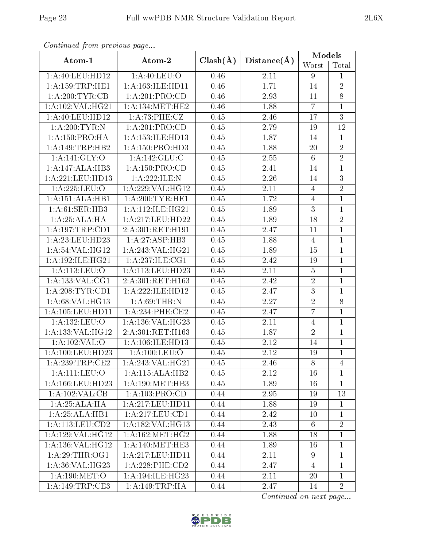| Conventata prome providas pago |                        |              | Distance(A) | <b>Models</b>   |                |  |
|--------------------------------|------------------------|--------------|-------------|-----------------|----------------|--|
| Atom-1                         | Atom-2                 | $Clash(\AA)$ |             | Worst           | Total          |  |
| 1: A:40:LEU:HD12               | 1:A:40:LEU:O           | 0.46         | 2.11        | 9               | $\mathbf{1}$   |  |
| 1: A: 159: TRP: HE1            | 1: A: 163: ILE: HD11   | 0.46         | 1.71        | 14              | $\overline{2}$ |  |
| 1: A:200:TYR:CB                | 1:A:201:PRO:CD         | 0.46         | 2.93        | 11              | 8              |  |
| 1: A: 102: VAL: HG21           | 1: A:134: MET:HE2      | 0.46         | 1.88        | $\overline{7}$  | $\mathbf{1}$   |  |
| 1: A:40: LEU:HD12              | 1: A:73:PHE: CZ        | 0.45         | 2.46        | 17              | $\overline{3}$ |  |
| 1: A:200:TYR:N                 | 1:A:201:PRO:CD         | 0.45         | 2.79        | 19              | 12             |  |
| 1:A:150:PRO:HA                 | 1:A:153:ILE:HD13       | 0.45         | 1.87        | 14              | $\mathbf{1}$   |  |
| 1:A:149:TRP:HB2                | 1:A:150:PRO:HD3        | 0.45         | 1.88        | 20              | $\overline{2}$ |  |
| 1:A:141:GLY:O                  | 1:A:142:GLU:C          | 0.45         | 2.55        | $6\phantom{.}6$ | $\overline{2}$ |  |
| 1:A:147:ALA:HB3                | 1: A: 150: PRO:CD      | 0.45         | 2.41        | $14\,$          | $\overline{1}$ |  |
| 1:A:221:LEU:HD13               | 1:A:222:ILE:N          | 0.45         | 2.26        | 14              | $\overline{3}$ |  |
| 1:A:225:LEU:O                  | 1: A:229: VAL:HG12     | 0.45         | 2.11        | $\overline{4}$  | $\overline{2}$ |  |
| 1:A:151:ALA:HB1                | 1: A:200:TYR:HE1       | 0.45         | 1.72        | $\overline{4}$  | $\mathbf{1}$   |  |
| 1: A:61: SER:HB3               | 1: A:112: ILE: HG21    | 0.45         | 1.89        | 3               | $\overline{1}$ |  |
| 1:A:25:ALA:HA                  | 1:A:217:LEU:HD22       | 0.45         | 1.89        | 18              | $\overline{2}$ |  |
| 1: A: 197: TRP: CD1            | 2:A:301:RET:H191       | 0.45         | 2.47        | 11              | $\overline{1}$ |  |
| 1: A:23: LEU:HD23              | 1:A:27:ASP:HB3         | 0.45         | 1.88        | $\overline{4}$  | $\mathbf{1}$   |  |
| 1: A:54:VAL:HG12               | 1:A:243:VAL:HG21       | 0.45         | 1.89        | 15              | $\mathbf{1}$   |  |
| 1: A:192: ILE: HG21            | 1:A:237:ILE:CG1        | 0.45         | 2.42        | 19              | $\mathbf{1}$   |  |
| 1:A:113:LEU:O                  | 1:A:113:LEU:HD23       | 0.45         | $2.11\,$    | $\bf 5$         | $\mathbf{1}$   |  |
| 1: A: 133: VAL: CG1            | 2:A:301:RET:H163       | 0.45         | 2.42        | $\overline{2}$  | $\mathbf{1}$   |  |
| 1: A:208:TYR:CD1               | 1:A:222:ILE:HD12       | 0.45         | 2.47        | 3               | $\mathbf{1}$   |  |
| 1:A:68:VAL:HG13                | 1: A:69:THR:N          | 0.45         | 2.27        | $\overline{2}$  | $\overline{8}$ |  |
| 1:A:105:LEU:HD11               | 1:A:234:PHE:CE2        | 0.45         | 2.47        | $\overline{7}$  | $\overline{1}$ |  |
| 1:A:132:LEU:O                  | 1:A:136:VAL:HG23       | 0.45         | 2.11        | $\overline{4}$  | $\mathbf{1}$   |  |
| 1:A:133:VAL:HG12               | 2:A:301:RET:H163       | 0.45         | 1.87        | $\sqrt{2}$      | $\overline{1}$ |  |
| 1:A:102:VAL:O                  | 1: A: 106: ILE: HD13   | 0.45         | 2.12        | 14              | 1              |  |
| 1: A:100:LEU:HD23              | 1: A: 100: LEU: O      | 0.45         | 2.12        | 19              | $\overline{1}$ |  |
| 1: A:239:TRP:CE2               | 1: A:243: VAL:HG21     | 0.45         | 2.46        | 8               | $\overline{4}$ |  |
| 1: A: 111: LEU: O              | 1:A:115:ALA:HB2        | 0.45         | 2.12        | 16              | $\mathbf{1}$   |  |
| 1: A: 166: LEU: HD23           | 1: A:190:MET:HB3       | 0.45         | 1.89        | 16              | $\mathbf{1}$   |  |
| 1:A:102:VAL:CB                 | 1: A: 103: PRO:CD      | 0.44         | 2.95        | 19              | 13             |  |
| 1:A:25:ALA:HA                  | 1:A:217:LEU:HD11       | 0.44         | 1.88        | 19              | 1              |  |
| 1:A:25:ALA:HB1                 | 1:A:217:LEU:CD1        | 0.44         | 2.42        | 10              | $\mathbf 1$    |  |
| 1: A:113: LEU: CD2             | 1: A: 182: VAL: HG13   | 0.44         | 2.43        | 6               | $\overline{2}$ |  |
| 1:A:129:VAL:HG12               | 1: A: 162:MET:HG2      | 0.44         | 1.88        | 18              | 1              |  |
| 1: A: 136: VAL: HG12           | 1: A:140:MET:HE3       | 0.44         | 1.89        | 16              | 1              |  |
| 1: A:29:THR:OG1                | 1: A:217:LEU:HD11      | 0.44         | 2.11        | 9               | $\mathbf{1}$   |  |
| 1:A:36:VAL:HG23                | $1: A:228:$ PHE: $CD2$ | 0.44         | 2.47        | $\overline{4}$  | $\mathbf{1}$   |  |
| 1: A:190:MET:O                 | 1:A:194:ILE:HG23       | 0.44         | 2.11        | 20              | $\mathbf{1}$   |  |
| 1:A:149:TRP:CE3                | 1: A:149:TRP:HA        | 0.44         | 2.47        | 14              | $\overline{2}$ |  |

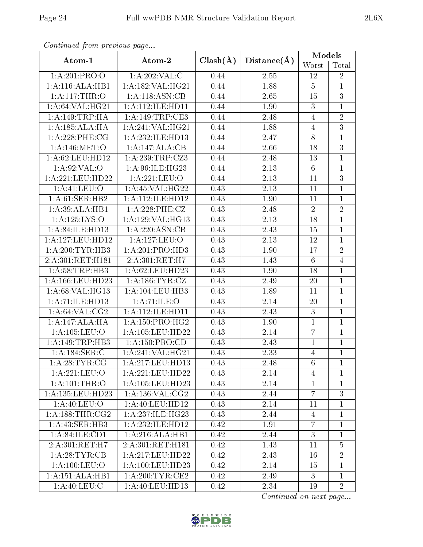|                                    | continuou provis us pago             |              |             | <b>Models</b>  |                |  |
|------------------------------------|--------------------------------------|--------------|-------------|----------------|----------------|--|
| Atom-1                             | Atom-2                               | $Clash(\AA)$ | Distance(A) | Worst          | Total          |  |
| 1:A:201:PRO:O                      | 1:A:202:VAL:CC                       | 0.44         | 2.55        | 12             | $\overline{2}$ |  |
| 1:A:116:ALA:HB1                    | 1:A:182:VAL:HG21                     | 0.44         | 1.88        | $\overline{5}$ | $\mathbf{1}$   |  |
| 1:A:117:THR:O                      | 1:A:118:ASN:CB                       | 0.44         | 2.65        | 15             | $\overline{3}$ |  |
| 1: A:64:VAL:HG21                   | 1:A:112:ILE:HD11                     | 0.44         | 1.90        | $\sqrt{3}$     | $\mathbf{1}$   |  |
| 1:A:149:TRP:HA                     | 1: A:149:TRP:CE3                     | 0.44         | 2.48        | $\overline{4}$ | $\overline{2}$ |  |
| 1:A:185:ALA:HA                     | 1:A:241:VAL:HG21                     | 0.44         | 1.88        | $\overline{4}$ | $\overline{3}$ |  |
| $1: A:228:$ PHE:CG                 | 1:A:232:ILE:HD13                     | 0.44         | 2.47        | $8\,$          | $\overline{1}$ |  |
| 1:A:146:MET:O                      | 1:A:147:ALA:CB                       | 0.44         | 2.66        | 18             | $\overline{3}$ |  |
| 1: A:62:LEU:HD12                   | 1:A:239:TRP:CZ3                      | 0.44         | 2.48        | 13             | $\overline{1}$ |  |
| 1: A:92: VAL:O                     | 1:A:96:ILE:HG23                      | 0.44         | 2.13        | $\,6\,$        | $\mathbf{1}$   |  |
| 1:A:221:LEU:HD22                   | 1:A:221:LEU:O                        | 0.44         | 2.13        | 11             | $\overline{3}$ |  |
| 1:A:41:LEU:O                       | 1: A:45: VAL:HG22                    | 0.43         | 2.13        | 11             | $\mathbf{1}$   |  |
| 1: A:61:SER:HB2                    | 1: A:112: ILE: HD12                  | 0.43         | 1.90        | 11             | $\mathbf{1}$   |  |
| 1:A:39:ALA:HB1                     | $1: A:228:$ PHE:CZ                   | 0.43         | 2.48        | $\overline{2}$ | $\overline{2}$ |  |
| 1:A:125:LYS:O                      | 1:A:129:VAL:HG13                     | 0.43         | 2.13        | 18             | $\mathbf{1}$   |  |
| 1:A:84:ILE:HD13                    | 1:A:220:ASN:CB                       | 0.43         | 2.43        | 15             | $\overline{1}$ |  |
| 1: A:127: LEU: HD12                | 1:A:127:LEU:O                        | 0.43         | 2.13        | 12             | $\mathbf{1}$   |  |
| 1:A:200:TYR:HB3                    | 1:A:201:PRO:HD3                      | 0.43         | 1.90        | 17             | $\overline{2}$ |  |
| 2:A:301:RET:H181                   | $2:A:301:\overline{\mathrm{RET:H7}}$ | 0.43         | 1.43        | $6\,$          | $\overline{4}$ |  |
| 1: A:58:TRP:HB3                    | 1:A:62:LEU:HD23                      | 0.43         | 1.90        | 18             | $\mathbf{1}$   |  |
| 1: A: 166: LEU: HD23               | 1: A: 186: TYR: CZ                   | 0.43         | 2.49        | $20\,$         | $\mathbf{1}$   |  |
| 1:A:68:VAL:HG13                    | 1: A: 104: LEU: HB3                  | 0.43         | 1.89        | 11             | $\overline{1}$ |  |
| 1:A:71:ILE:HD13                    | 1: A:71: ILE: O                      | 0.43         | 2.14        | $20\,$         | $\overline{1}$ |  |
| 1: A:64:VAL: CG2                   | 1:A:112:ILE:HD11                     | 0.43         | 2.43        | $\sqrt{3}$     | $\overline{1}$ |  |
| 1:A:147:ALA:HA                     | 1: A: 150: PRO:HG2                   | 0.43         | 1.90        | $\mathbf{1}$   | $\mathbf{1}$   |  |
| 1: A: 105: LEU: O                  | 1:A:105:LEU:HD22                     | 0.43         | 2.14        | $\overline{7}$ | $\mathbf{1}$   |  |
| 1:A:149:TRP:HB3                    | 1: A: 150: PRO:CD                    | 0.43         | 2.43        | $\mathbf{1}$   | $\mathbf{1}$   |  |
| 1:A:184:SER:C                      | 1:A:241:VAL:HG21                     | 0.43         | 2.33        | $\overline{4}$ | $\overline{1}$ |  |
| 1: A:28:TYR:CG                     | 1:A:217:LEU:HD13                     | 0.43         | 2.48        | 6              | 1              |  |
| 1:A:221:LEU:O                      | 1:A:221:LEU:HD22                     | 0.43         | 2.14        | $\overline{4}$ | 1              |  |
| 1: A: 101:THR:O                    | 1: A: 105: LEU: HD23                 | 0.43         | 2.14        | $\mathbf{1}$   | $\mathbf 1$    |  |
| 1: A: 135: LEU: HD23               | 1: A:136: VAL:CG2                    | 0.43         | 2.44        | $\overline{7}$ | 3              |  |
| 1: A:40:LEU:O                      | 1:A:40:LEU:HD12                      | 0.43         | 2.14        | 11             | 1              |  |
| 1: A: 188: THR: CG2                | 1:A:237:ILE:HG23                     | 0.43         | 2.44        | 4              | 1              |  |
| 1: A:43: SER:HB3                   | 1:A:232:ILE:HD12                     | 0.42         | 1.91        | $\overline{7}$ | $\mathbf 1$    |  |
| $1:A:84:\overline{\text{ILE:CD1}}$ | 1:A:216:ALA:HB1                      | 0.42         | 2.44        | 3              | $\mathbf 1$    |  |
| 2:A:301:RET:H7                     | 2:A:301:RET:H181                     | 0.42         | 1.43        | 11             | $\overline{5}$ |  |
| 1:A:28:TYR:CB                      | 1:A:217:LEU:HD22                     | 0.42         | 2.43        | 16             | $\overline{2}$ |  |
| 1: A: 100: LEU: O                  | 1:A:100:LEU:HD23                     | 0.42         | 2.14        | 15             | $\overline{1}$ |  |
| 1:A:151:ALA:HB1                    | 1: A:200:TYR:CE2                     | 0.42         | 2.49        | 3              | $\mathbf{1}$   |  |
| 1: A:40: LEU: C                    | 1:A:40:LEU:HD13                      | 0.42         | 2.34        | 19             | $\overline{2}$ |  |

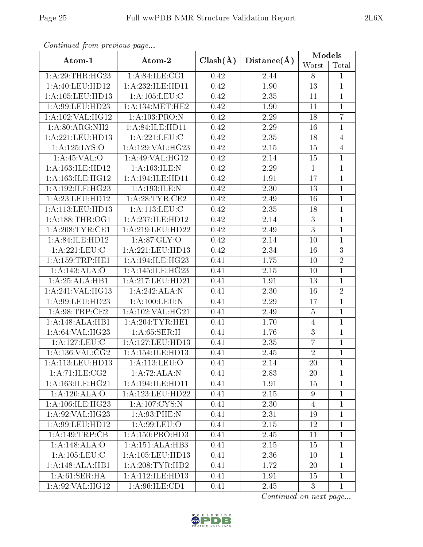| Conventaca prome providuo pago        |                      |              |             | Models           |                |  |
|---------------------------------------|----------------------|--------------|-------------|------------------|----------------|--|
| Atom-1                                | Atom-2               | $Clash(\AA)$ | Distance(A) | Worst            | Total          |  |
| 1:A:29:THR:HG23                       | 1: A:84: ILE:CG1     | 0.42         | 2.44        | 8                | $\mathbf{1}$   |  |
| 1: A:40: LEU:HD12                     | 1:A:232:ILE:HD11     | 0.42         | 1.90        | $13\,$           | $\mathbf{1}$   |  |
| 1:A:105:LEU:HD13                      | 1: A: 105: LEU: C    | 0.42         | 2.35        | 11               | $\mathbf{1}$   |  |
| 1: A:99: LEU: HD23                    | 1: A:134:MET:HE2     | 0.42         | 1.90        | 11               | $\mathbf{1}$   |  |
| $1:$ A:102:VAL:HG12                   | 1:A:103:PRO:N        | 0.42         | 2.29        | 18               | $\overline{7}$ |  |
| 1:A:80:ARG:NH2                        | 1: A:84: ILE: HD11   | 0.42         | 2.29        | 16               | $\mathbf{1}$   |  |
| 1:A:221:LEU:HD13                      | 1:A:221:LEU:C        | 0.42         | 2.35        | 18               | $\overline{4}$ |  |
| $1:$ A:125:LYS: $\overline{\text{O}}$ | 1:A:129:VAL:HG23     | 0.42         | $2.15\,$    | 15               | $\overline{4}$ |  |
| 1: A:45:VAL:O                         | 1: A:49: VAL:HG12    | 0.42         | 2.14        | 15               | $\overline{1}$ |  |
| 1:A:163:ILE:HD12                      | 1:A:163:ILE:N        | 0.42         | 2.29        | $\mathbf{1}$     | $\mathbf{1}$   |  |
| 1: A:163: ILE: HG12                   | 1:A:194:ILE:HD11     | 0.42         | 1.91        | 17               | $\overline{1}$ |  |
| 1:A:192:ILE:HG23                      | 1:A:193:ILE:N        | 0.42         | 2.30        | 13               | $\mathbf{1}$   |  |
| 1: A:23: LEU: HD12                    | 1: A:28:TYR:CE2      | 0.42         | 2.49        | 16               | $\mathbf{1}$   |  |
| 1: A:113: LEU: HD13                   | 1: A: 113: LEU: C    | 0.42         | 2.35        | 18               | $\mathbf{1}$   |  |
| 1: A: 188: THR: OG1                   | 1:A:237:ILE:HD12     | 0.42         | 2.14        | 3                | $\mathbf{1}$   |  |
| 1: A:208:TYR:CE1                      | 1: A:219:LEU:HD22    | 0.42         | 2.49        | $\overline{3}$   | $\mathbf{1}$   |  |
| 1: A:84: ILE: HD12                    | 1: A:87: GLY:O       | 0.42         | $2.14\,$    | 10               | $\mathbf{1}$   |  |
| 1: A:221:LEU: C                       | 1:A:221:LEU:HD13     | 0.42         | 2.34        | 16               | $\overline{3}$ |  |
| 1: A: 159: TRP: HE1                   | 1:A:194:ILE:HG23     | 0.41         | 1.75        | 10               | $\overline{2}$ |  |
| 1:A:143:ALA:O                         | 1:A:145:ILE:HG23     | 0.41         | $2.15\,$    | 10               | $\mathbf{1}$   |  |
| 1:A:25:ALA:HB1                        | 1:A:217:LEU:HD21     | 0.41         | 1.91        | 13               | $\mathbf{1}$   |  |
| 1:A:241:VAL:HG13                      | 1:A:242:ALA:N        | 0.41         | 2.30        | 16               | $\overline{2}$ |  |
| 1: A:99: LEU: HD23                    | 1: A:100: LEU: N     | 0.41         | 2.29        | 17               | $\mathbf{1}$   |  |
| 1: A:98:TRP:CE2                       | 1:A:102:VAL:HG21     | 0.41         | 2.49        | $\overline{5}$   | $\overline{1}$ |  |
| 1:A:148:ALA:HB1                       | 1:A:204:TYR:HE1      | 0.41         | 1.70        | $\overline{4}$   | $\mathbf{1}$   |  |
| 1:A:64:VAL:HG23                       | 1: A:65:SER:H        | 0.41         | 1.76        | $\boldsymbol{3}$ | $\mathbf{1}$   |  |
| 1: A: 127: LEU: C                     | 1:A:127:LEU:HD13     | 0.41         | 2.35        | $\overline{7}$   | $\mathbf 1$    |  |
| 1: A: 136: VAL: CG2                   | 1: A:154: ILE: HD13  | 0.41         | 2.45        | $\overline{2}$   | $\overline{1}$ |  |
| 1: A:113: LEU: HD13                   | 1: A:113: LEU:O      | 0.41         | 2.14        | <b>20</b>        | $\mathbf{1}$   |  |
| 1:A:71:ILE:CG2                        | 1:A:72:ALA:N         | 0.41         | 2.83        | 20               | $\mathbf{1}$   |  |
| 1:A:163:ILE:HG21                      | 1:A:194:ILE:HD11     | 0.41         | 1.91        | 15               | $\mathbf{1}$   |  |
| 1:A:120:ALA:O                         | 1:A:123:LEU:HD22     | 0.41         | 2.15        | 9                | $\mathbf{1}$   |  |
| 1: A:106: ILE: HG23                   | 1: A: 107: CYS:N     | 0.41         | 2.30        | $\overline{4}$   | $\mathbf{1}$   |  |
| 1:A:92:VAL:HG23                       | 1:A:93:PHE:N         | 0.41         | 2.31        | 19               | $\mathbf{1}$   |  |
| 1: A:99: LEU: HD12                    | 1: A:99: LEU:O       | 0.41         | 2.15        | 12               | $\mathbf{1}$   |  |
| 1:A:149:TRP:CB                        | 1: A: 150: PRO: HD3  | 0.41         | 2.45        | 11               | 1              |  |
| 1:A:148:ALA:O                         | 1:A:151:ALA:HB3      | 0.41         | 2.15        | 15               | $\mathbf 1$    |  |
| 1: A: 105: LEU: C                     | 1: A: 105: LEU: HD13 | 0.41         | 2.36        | 10               | $\mathbf{1}$   |  |
| 1:A:148:ALA:HB1                       | 1: A:208:TYR:HD2     | 0.41         | 1.72        | 20               | $\mathbf{1}$   |  |
| 1: A:61:SER:HA                        | 1:A:112:ILE:HD13     | 0.41         | 1.91        | 15               | $\mathbf{1}$   |  |
| 1: A:92: VAL: HG12                    | 1: A:96: ILE: CD1    | 0.41         | 2.45        | 3                | $\mathbf{1}$   |  |

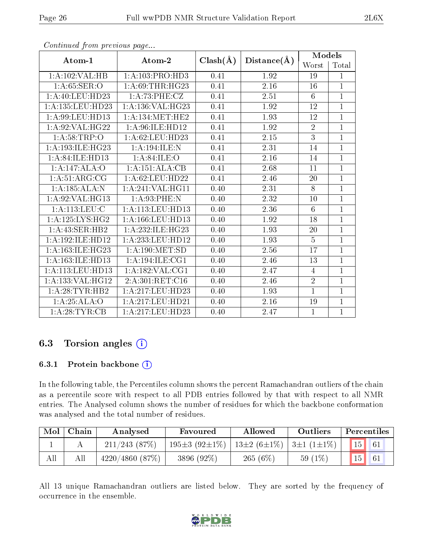| Atom-1                          | Atom-2                              | $Clash(\AA)$ |                   | Models         |                |  |
|---------------------------------|-------------------------------------|--------------|-------------------|----------------|----------------|--|
|                                 |                                     |              | Distance(A)       | Worst          | Total          |  |
| 1:A:102:VAL:HB                  | 1:A:103:PRO:HD3                     | 0.41         | 1.92              | 19             | 1              |  |
| 1: A:65:SER:O                   | 1: A:69:THR:HG23                    | 0.41         | 2.16              | 16             | $\mathbf{1}$   |  |
| 1: A: 40: LEU: HD23             | 1: A:73:PHE:CZ                      | 0.41         | 2.51              | 6              | $\mathbf{1}$   |  |
| 1: A: 135: LEU: HD23            | 1:A:136:VAL:HG23                    | 0.41         | 1.92              | 12             | $\overline{1}$ |  |
| 1: A:99: LEU: HD13              | 1: A:134:MET:HE2                    | 0.41         | 1.93              | 12             | $\overline{1}$ |  |
| 1:A:92:VAL:HG22                 | 1: A:96: ILE: HD12                  | 0.41         | 1.92              | $\overline{2}$ | $\mathbf{1}$   |  |
| 1: A:58:TRP:O                   | 1:A:62:LEU:HD23                     | 0.41         | 2.15              | $\overline{3}$ | $\mathbf{1}$   |  |
| 1: A: 193: ILE: HG23            | 1:A:194:ILE:N                       | 0.41         | 2.31              | 14             | $\overline{1}$ |  |
| 1: A:84: ILE:HD13               | 1: A:84: ILE:O                      | 0.41         | 2.16              | 14             | $\mathbf{1}$   |  |
| $1:A:147:ALA:\overline{O}$      | 1:A:151:ALA:CB                      | 0.41         | 2.68              | 11             | $\mathbf{1}$   |  |
| $1:A:\overline{51:ARG:CG}$      | 1: A:62:LEU:HD22                    | 0.41         | 2.46              | 20             | $\overline{1}$ |  |
| 1:A:185:ALA:N                   | 1: A:241: VAL:HGI1                  | 0.40         | 2.31              | 8              | $\overline{1}$ |  |
| 1:A:92:VAL:HG13                 | 1: A:93:PHE:N                       | 0.40         | 2.32              | 10             | $\mathbf{1}$   |  |
| $1: A:113:$ LEU:C               | 1: A:113: LEU: HD13                 | 0.40         | 2.36              | 6              | $\mathbf{1}$   |  |
| $1: A:125: LYS: H\overline{G2}$ | 1:A:166:LEU:HD13                    | 0.40         | 1.92              | 18             | $\mathbf 1$    |  |
| 1: A: 43: SER: HB2              | 1:A:232:ILE:HG23                    | 0.40         | 1.93              | 20             | $\overline{1}$ |  |
| 1:A:192:ILE:HD12                | 1: A: 233: LEU: HD12                | 0.40         | 1.93              | $\overline{5}$ | $\mathbf{1}$   |  |
| 1:A:163:ILE:HG23                | 1: A:190:MET:SD                     | 0.40         | 2.56              | 17             | $\mathbf{1}$   |  |
| 1:A:163:ILE:HD13                | $1:A:194:\overline{\text{ILE}:CG1}$ | 0.40         | $2.46\,$          | 13             | $\overline{1}$ |  |
| 1: A:113: LEU: HD13             | 1:A:182:VAL:CG1                     | 0.40         | 2.47              | 4              | $\overline{1}$ |  |
| 1:A:133:VAL:HG12                | 2:A:301:RET:C16                     | 0.40         | 2.46              | $\overline{2}$ | $\mathbf{1}$   |  |
| 1: A:28:TYR:HB2                 | 1:A:217:LEU:HD23                    | 0.40         | 1.93              | $\mathbf{1}$   | $\mathbf{1}$   |  |
| 1:A:25:ALA:O                    | 1: A:217:LEU:HD21                   | 0.40         | $\overline{2}.16$ | 19             | $\mathbf 1$    |  |
| 1:A:28:TYR:CB                   | 1:A:217:LEU:HD23                    | 0.40         | 2.47              | $\mathbf{1}$   | $\overline{1}$ |  |

### 6.3 Torsion angles (i)

#### 6.3.1 Protein backbone (i)

In the following table, the Percentiles column shows the percent Ramachandran outliers of the chain as a percentile score with respect to all PDB entries followed by that with respect to all NMR entries. The Analysed column shows the number of residues for which the backbone conformation was analysed and the total number of residues.

| Mol | Chain | Analysed           | Favoured                   | Allowed           | Outliers                      | Percentiles |  |
|-----|-------|--------------------|----------------------------|-------------------|-------------------------------|-------------|--|
|     |       | $211/243$ (87\%)   | 195 $\pm$ 3 (92 $\pm$ 1\%) | $13\pm2(6\pm1\%)$ | $ \frac{3 \pm 1}{1 \pm 1\%} $ | 15          |  |
| All |       | $4220/4860$ (87\%) | 3896 (92%)                 | 265 $(6%)$        | 59 $(1\%)$                    | 15          |  |

All 13 unique Ramachandran outliers are listed below. They are sorted by the frequency of occurrence in the ensemble.

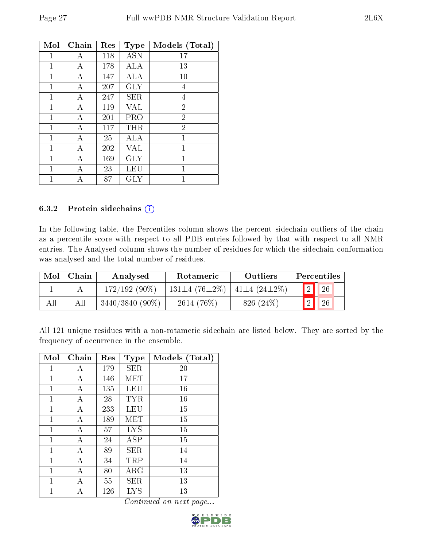| Mol | Chain | Res | <b>Type</b> | Models (Total) |
|-----|-------|-----|-------------|----------------|
| 1   | Α     | 118 | <b>ASN</b>  | $17\,$         |
| 1   | А     | 178 | ALA         | 13             |
| 1   | Α     | 147 | ALA         | 10             |
| 1   | А     | 207 | <b>GLY</b>  | 4              |
| 1   | А     | 247 | <b>SER</b>  | 4              |
| 1   | А     | 119 | VAL         | $\overline{2}$ |
| 1   | А     | 201 | PRO         | $\overline{2}$ |
| 1   | А     | 117 | THR         | $\overline{2}$ |
| 1   | Α     | 25  | ALA         | 1              |
| 1   | А     | 202 | VAL         | 1              |
| 1   | А     | 169 | <b>GLY</b>  | 1              |
| 1   | Α     | 23  | LEU         | 1              |
|     | А     | 87  | GLY         | 1              |

#### 6.3.2 Protein sidechains  $(i)$

In the following table, the Percentiles column shows the percent sidechain outliers of the chain as a percentile score with respect to all PDB entries followed by that with respect to all NMR entries. The Analysed column shows the number of residues for which the sidechain conformation was analysed and the total number of residues.

| Mol | Chain | Analysed          | Rotameric           | Outliers                |                | Percentiles |  |
|-----|-------|-------------------|---------------------|-------------------------|----------------|-------------|--|
|     |       | $172/192(90\%)$   | $131\pm4(76\pm2\%)$ | $41\pm4$ (24 $\pm2\%$ ) | $\overline{2}$ | $\sqrt{26}$ |  |
| All |       | $3440/3840(90\%)$ | $2614(76\%)$        | 826 (24\%)              | $\overline{2}$ | 26          |  |

All 121 unique residues with a non-rotameric sidechain are listed below. They are sorted by the frequency of occurrence in the ensemble.

| Mol | Chain | Res | <b>Type</b> | Models (Total) |
|-----|-------|-----|-------------|----------------|
| 1   | Α     | 179 | <b>SER</b>  | 20             |
| 1   | А     | 146 | MET         | 17             |
| 1   | А     | 135 | LEU         | 16             |
| 1   | А     | 28  | <b>TYR</b>  | 16             |
| 1   | А     | 233 | LEU         | 15             |
| 1   | Α     | 189 | MET         | 15             |
| 1   | А     | 57  | <b>LYS</b>  | 15             |
| 1   | А     | 24  | ${\rm ASP}$ | 15             |
| 1   | А     | 89  | SER         | 14             |
| 1   | А     | 34  | TRP         | 14             |
| 1   | А     | 80  | $\rm{ARG}$  | 13             |
| 1   | А     | 55  | SER         | 13             |
|     | А     | 126 | LYS         | 13             |

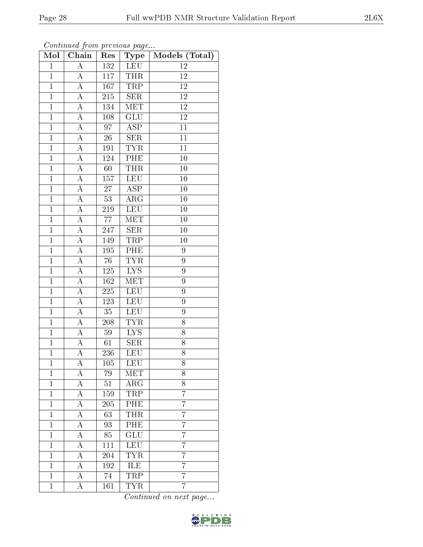| Mol            | Chain              | Res             | Type                    | Models (Total)  |  |
|----------------|--------------------|-----------------|-------------------------|-----------------|--|
| $\mathbf{1}$   | $\overline{A}$     | 132             | <b>LEU</b>              | 12              |  |
| $\overline{1}$ | $\overline{A}$     | 117             | <b>THR</b>              | 12              |  |
| $\overline{1}$ | $\overline{\rm A}$ | 167             | <b>TRP</b>              | $\overline{12}$ |  |
| $\mathbf{1}$   | $\rm A$            | 215             | SER                     | $12\,$          |  |
| $\overline{1}$ | $\overline{A}$     | 134             | <b>MET</b>              | $\overline{12}$ |  |
| $\mathbf{1}$   | A                  | 108             | <b>GLU</b>              | 12              |  |
| $\overline{1}$ | A                  | $\overline{97}$ | $\overline{\rm ASP}$    | 11              |  |
| $\mathbf{1}$   | А                  | $26\,$          | SER                     | 11              |  |
| $\mathbf{1}$   | A                  | 191             | <b>TYR</b>              | 11              |  |
| $\mathbf{1}$   | А                  | 124             | PHE                     | 10              |  |
| $\overline{1}$ | A                  | 60              | <b>THR</b>              | 10              |  |
| $\overline{1}$ | $\overline{A}$     | 157             | <b>LEU</b>              | 10              |  |
| $\mathbf{1}$   | А                  | $27\,$          | $\overline{\text{ASP}}$ | 10              |  |
| $\mathbf{1}$   | А                  | 53              | $\rm{ARG}$              | 10              |  |
| $\mathbf{1}$   | $\overline{A}$     | 219             | LEU                     | 10              |  |
| $\mathbf{1}$   | $\rm A$            | 77              | MET                     | 10              |  |
| $\mathbf{1}$   | $\overline{A}$     | 247             | SER                     | 10              |  |
| $\mathbf{1}$   | $\mathbf{A}$       | 149             | TRP                     | 10              |  |
| $\mathbf{1}$   | $\overline{A}$     | 195             | PHE                     | 9               |  |
| $\overline{1}$ | $\overline{\rm A}$ | 76              | <b>TYR</b>              | 9               |  |
| $\mathbf{1}$   | $\overline{A}$     | 125             | $LYS$                   | 9               |  |
| $\overline{1}$ | $\overline{A}$     | 162             | <b>MET</b>              | $\overline{9}$  |  |
| $\mathbf{1}$   | $\boldsymbol{A}$   | 225             | <b>LEU</b>              | 9               |  |
| $\overline{1}$ | $\overline{\rm A}$ | 123             | <b>LEU</b>              | 9               |  |
| $\mathbf{1}$   | А                  | 35              | <b>LEU</b>              | 9               |  |
| $\overline{1}$ | A                  | 208             | <b>TYR</b>              | 8               |  |
| $\overline{1}$ | A                  | 59              | $\overline{\text{LYS}}$ | 8               |  |
| $\overline{1}$ | А                  | 61              | <b>SER</b>              | 8               |  |
| $\mathbf{1}$   | A                  | 236             | LEU                     | 8               |  |
| 1              | А                  | 105             | LEU                     | 8               |  |
| $\mathbf{1}$   | А                  | 79              | $ME\overline{T}$        | 8               |  |
| $\mathbf 1$    | А                  | $51\,$          | $\rm{ARG}$              | 8               |  |
| $\mathbf 1$    | А                  | 159             | TRP                     | 7               |  |
| $\mathbf{1}$   | А                  | 205             | PHE                     | $\overline{7}$  |  |
| $\mathbf{1}$   | А                  | 63              | <b>THR</b>              | $\overline{7}$  |  |
| $\mathbf{1}$   | A                  | 93              | $\overline{\rm{PHE}}$   | $\overline{7}$  |  |
| $\mathbf{1}$   | А                  | 85              | GLU                     | $\overline{7}$  |  |
| $\mathbf{1}$   | А                  | 111             | <b>LEU</b>              | 7               |  |
| $\mathbf{1}$   | А                  | 204             | $\overline{TYR}$        | 7               |  |
| $\mathbf{1}$   | A                  | 192             | ILE                     | 7               |  |
| $\overline{1}$ | A                  | 74              | <b>TRP</b>              | $\overline{7}$  |  |
| $\mathbf 1$    | А                  | 161             | <b>TYR</b>              | 7               |  |

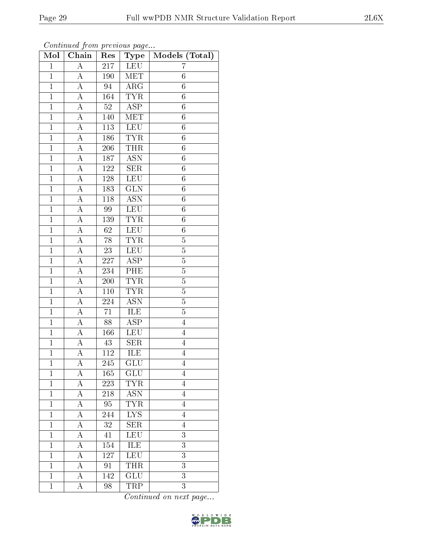| Chain<br>Mol   |                    | Res              | Type                      | Models (Total)   |  |  |
|----------------|--------------------|------------------|---------------------------|------------------|--|--|
| $\mathbf{1}$   | A                  | 217              | <b>LEU</b>                | 7                |  |  |
| $\mathbf{1}$   | $\boldsymbol{A}$   | 190              | MET                       | 6                |  |  |
| $\overline{1}$ | $\overline{\rm A}$ | $\overline{94}$  | $\overline{\text{ARG}}$   | $\overline{6}$   |  |  |
| $\mathbf{1}$   | $\boldsymbol{A}$   | 164              | <b>TYR</b>                | $\boldsymbol{6}$ |  |  |
| $\overline{1}$ | A                  | $\overline{52}$  | $\overline{\text{ASP}}$   | 6                |  |  |
| $\mathbf{1}$   | A                  | 140              | <b>MET</b>                | 6                |  |  |
| $\mathbf{1}$   | $\boldsymbol{A}$   | 113              | <b>LEU</b>                | $\overline{6}$   |  |  |
| $\mathbf{1}$   | $\boldsymbol{A}$   | 186              | <b>TYR</b>                | $\sqrt{6}$       |  |  |
| $\mathbf{1}$   | A                  | 206              | <b>THR</b>                | $\overline{6}$   |  |  |
| $\mathbf{1}$   | A                  | 187              | $\overline{\text{ASN}}$   | $\sqrt{6}$       |  |  |
| $\mathbf{1}$   | А                  | 122              | <b>SER</b>                | 6                |  |  |
| $\mathbf{1}$   | $\overline{\rm A}$ | 128              | <b>LEU</b>                | $\overline{6}$   |  |  |
| $\mathbf{1}$   | $\overline{\rm A}$ | 183              | $\overline{\text{GLN}}$   | 6                |  |  |
| $\overline{1}$ | $\overline{A}$     | $118\,$          | $\overline{\mathrm{ASN}}$ | $\boldsymbol{6}$ |  |  |
| $\mathbf{1}$   | $\overline{A}$     | 99               | <b>LEU</b>                | $\boldsymbol{6}$ |  |  |
| $\mathbf{1}$   | $\boldsymbol{A}$   | 139              | <b>TYR</b>                | $\boldsymbol{6}$ |  |  |
| $\mathbf{1}$   | $\overline{\rm A}$ | 62               | <b>LEU</b>                | 6                |  |  |
| $\mathbf{1}$   | $\boldsymbol{A}$   | 78               | <b>TYR</b>                | $\overline{5}$   |  |  |
| $\overline{1}$ | $\overline{A}$     | 23               | <b>LEU</b>                | $\overline{5}$   |  |  |
| $\overline{1}$ | $\overline{\rm A}$ | 227              | $\overline{\text{ASP}}$   | $\overline{5}$   |  |  |
| $\mathbf{1}$   | A                  | 234              | PHE                       | $\bf 5$          |  |  |
| $\mathbf{1}$   | $\overline{\rm A}$ | $\overline{200}$ | <b>TYR</b>                | $\overline{5}$   |  |  |
| $\mathbf{1}$   | A                  | 110              | <b>TYR</b>                | $\overline{5}$   |  |  |
| $\overline{1}$ | A                  | 224              | $\overline{\mathrm{ASN}}$ | $\overline{5}$   |  |  |
| $\mathbf{1}$   | A                  | 71               | ILE                       | $\overline{5}$   |  |  |
| $\mathbf{1}$   | A                  | 88               | $\overline{\text{ASP}}$   | $\overline{4}$   |  |  |
| $\mathbf{1}$   | А                  | 166              | <b>LEU</b>                | $\overline{4}$   |  |  |
| $\overline{1}$ | А                  | 43               | <b>SER</b>                | $\overline{4}$   |  |  |
| $\overline{1}$ | A                  | 112              | <b>ILE</b>                | $\overline{4}$   |  |  |
| 1              | А                  | 245              | GLU                       | $\overline{4}$   |  |  |
| $\mathbf{1}$   | А                  | 165              | GLU                       | $\overline{4}$   |  |  |
| $\mathbf{1}$   | A                  | 223              | TYR                       | $\overline{4}$   |  |  |
| $\mathbf{1}$   | A                  | 218              | $\operatorname{ASN}$      | $\overline{4}$   |  |  |
| $\mathbf{1}$   | A                  | 95               | $\overline{\text{TYR}}$   | $\overline{4}$   |  |  |
| $\mathbf{1}$   | $\boldsymbol{A}$   | 244              | ${\rm LYS}$               | $\overline{4}$   |  |  |
| $\mathbf 1$    | A                  | 32               | <b>SER</b>                | $\overline{4}$   |  |  |
| $\mathbf{1}$   | $\boldsymbol{A}$   | 41               | <b>LEU</b>                | $\overline{3}$   |  |  |
| $\mathbf{1}$   | $\boldsymbol{A}$   | 154              | ILE                       | $\overline{3}$   |  |  |
| $\overline{1}$ | A                  | 127              | <b>LEU</b>                | $\overline{3}$   |  |  |
| 1              | А                  | 91               | THR                       | 3                |  |  |
| $\mathbf{1}$   | A                  | 142              | $\overline{\text{GLU}}$   | $\overline{3}$   |  |  |
| $\mathbf{1}$   | А                  | 98               | TRP                       | 3                |  |  |

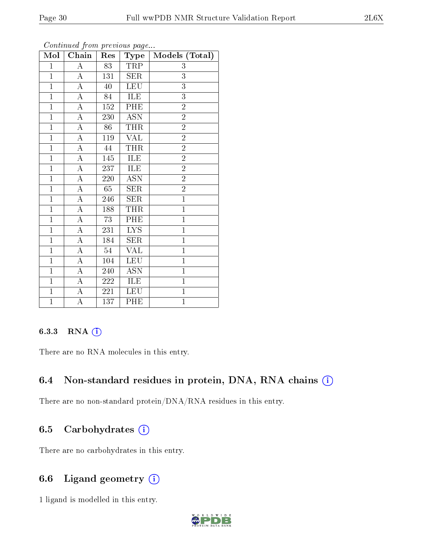| Mol            | Chain              | Res             | Type                    | Models (Total) |
|----------------|--------------------|-----------------|-------------------------|----------------|
| $\mathbf{1}$   | $\boldsymbol{A}$   | 83              | TRP                     | 3              |
| $\overline{1}$ | $\overline{\rm A}$ | 131             | SER                     | 3              |
| $\overline{1}$ | $\overline{A}$     | 40              | <b>LEU</b>              | $\overline{3}$ |
| $\overline{1}$ | $\overline{\rm A}$ | 84              | <b>ILE</b>              | 3              |
| $\mathbf{1}$   | $\overline{\rm A}$ | 152             | <b>PHE</b>              | $\overline{2}$ |
| $\overline{1}$ | $\overline{\rm A}$ | 230             | <b>ASN</b>              | $\overline{2}$ |
| $\overline{1}$ | $\overline{\rm A}$ | 86              | <b>THR</b>              | $\overline{2}$ |
| $\overline{1}$ | $\overline{A}$     | 119             | VAL                     | $\overline{2}$ |
| $\mathbf{1}$   | $\overline{A}$     | 44              | <b>THR</b>              | $\overline{2}$ |
| $\overline{1}$ | $\overline{\rm A}$ | 145             | <b>ILE</b>              | $\overline{2}$ |
| $\mathbf{1}$   | $\boldsymbol{A}$   | 237             | ILE                     | $\overline{2}$ |
| $\overline{1}$ | $\overline{\rm A}$ | 220             | <b>ASN</b>              | $\overline{2}$ |
| $\overline{1}$ | A                  | 65              | <b>SER</b>              | $\overline{2}$ |
| $\overline{1}$ | $\overline{\rm A}$ | 246             | <b>SER</b>              | $\overline{1}$ |
| $\overline{1}$ | $\boldsymbol{A}$   | 188             | <b>THR</b>              | $\overline{1}$ |
| $\overline{1}$ | $\overline{A}$     | $\overline{7}3$ | PHE                     | $\overline{1}$ |
| $\overline{1}$ | A                  | 231             | $\overline{\text{LYS}}$ | $\mathbf{1}$   |
| $\mathbf{1}$   | А                  | 184             | <b>SER</b>              | $\mathbf{1}$   |
| $\mathbf{1}$   | А                  | 54              | <b>VAL</b>              | $\mathbf{1}$   |
| $\overline{1}$ | $\overline{A}$     | 104             | <b>LEU</b>              | $\overline{1}$ |
| $\overline{1}$ | $\boldsymbol{A}$   | 240             | <b>ASN</b>              | $\mathbf{1}$   |
| $\mathbf{1}$   | $\overline{A}$     | 222             | ILE                     | $\mathbf{1}$   |
| $\mathbf{1}$   | A                  | 221             | <b>LEU</b>              | $\mathbf{1}$   |
| $\overline{1}$ | А                  | 137             | PHE                     | $\overline{1}$ |

Continued from previous page...

#### 6.3.3 RNA [O](https://www.wwpdb.org/validation/2017/NMRValidationReportHelp#rna)i

There are no RNA molecules in this entry.

#### 6.4 Non-standard residues in protein, DNA, RNA chains (i)

There are no non-standard protein/DNA/RNA residues in this entry.

#### 6.5 Carbohydrates  $(i)$

There are no carbohydrates in this entry.

#### 6.6 Ligand geometry  $(i)$

1 ligand is modelled in this entry.

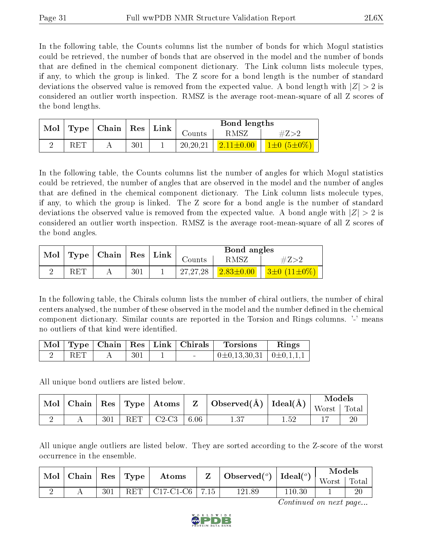In the following table, the Counts columns list the number of bonds for which Mogul statistics could be retrieved, the number of bonds that are observed in the model and the number of bonds that are defined in the chemical component dictionary. The Link column lists molecule types, if any, to which the group is linked. The Z score for a bond length is the number of standard deviations the observed value is removed from the expected value. A bond length with  $|Z| > 2$  is considered an outlier worth inspection. RMSZ is the average root-mean-square of all Z scores of the bond lengths.

| Mol |                      | $\vert$ Type $\vert$ Chain $\vert$ Res $\vert$ Link $\vert$ |  |            | Bond lengths |                         |
|-----|----------------------|-------------------------------------------------------------|--|------------|--------------|-------------------------|
|     |                      |                                                             |  | Counts     | RMSZ         |                         |
|     | $\operatorname{RET}$ | 301                                                         |  | 20, 20, 21 |              | $1\pm 0$ (5 $\pm 0\%$ ) |

In the following table, the Counts columns list the number of angles for which Mogul statistics could be retrieved, the number of angles that are observed in the model and the number of angles that are defined in the chemical component dictionary. The Link column lists molecule types, if any, to which the group is linked. The Z score for a bond angle is the number of standard deviations the observed value is removed from the expected value. A bond angle with  $|Z| > 2$  is considered an outlier worth inspection. RMSZ is the average root-mean-square of all Z scores of the bond angles.

|   |     | $\text{Mol}$   Type   Chain   Res   Link |     |            | Bond angles       |                          |
|---|-----|------------------------------------------|-----|------------|-------------------|--------------------------|
|   |     |                                          |     | Counts     | RMSZ              | $\#Z>2$                  |
| ↵ | RET |                                          | 301 | 27, 27, 28 | $(2.83 \pm 0.00)$ | $3\pm 0$ (11 $\pm 0\%$ ) |

In the following table, the Chirals column lists the number of chiral outliers, the number of chiral centers analysed, the number of these observed in the model and the number defined in the chemical component dictionary. Similar counts are reported in the Torsion and Rings columns. '-' means no outliers of that kind were identified.

|     |     | Mol   Type   Chain   Res   Link   Chirals <sup> </sup> | <b>Torsions</b>                                  | Rings |
|-----|-----|--------------------------------------------------------|--------------------------------------------------|-------|
| RET | 301 |                                                        | $\perp 0 \pm 0.13, 30, 31 \perp 0 \pm 0.1, 1, 1$ |       |

All unique bond outliers are listed below.

|  |     |     |         |      |                                                                                                                            |      | Models                                            |    |
|--|-----|-----|---------|------|----------------------------------------------------------------------------------------------------------------------------|------|---------------------------------------------------|----|
|  |     |     |         |      | $\mid$ Mol $\mid$ Chain $\mid$ Res $\mid$ Type $\mid$ Atoms $\mid$ $\mid$ $\mid$ $\mid$ Observed(Å) $\mid$ Ideal(Å) $\mid$ |      | $\sqrt{\frac{1}{10}}$ Worst $\sqrt{\frac{1}{10}}$ |    |
|  | 301 | RET | $C2-C3$ | 6.06 |                                                                                                                            | 1.52 |                                                   | 20 |

All unique angle outliers are listed below. They are sorted according to the Z-score of the worst occurrence in the ensemble.

| Mol | Chain | $\operatorname{Res}$ | Type | Atoms       |      | $\dot{ }$ Observed( $^o$ ) $_+$ | Ideal $(°)$ | Models<br>Worst | Tota. |
|-----|-------|----------------------|------|-------------|------|---------------------------------|-------------|-----------------|-------|
| ∸   |       | 301                  | RET  | $C17-C1-C6$ | 7.15 | .89<br>  91.                    | 110.30      |                 | 20    |

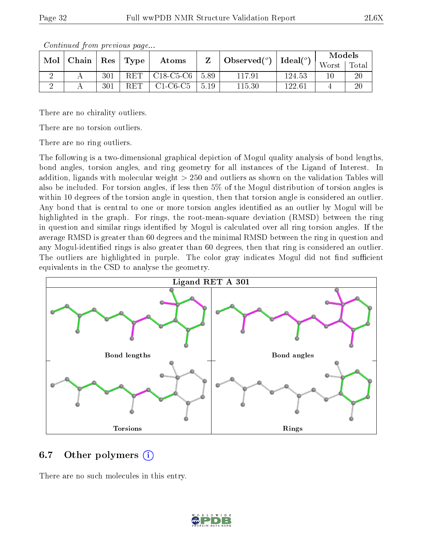| $\text{Mol}$ | $\mid$ Chain $\mid$ Res $\mid$ Type |                      | Atoms       |      | $\perp$ Observed( <sup>o</sup> ) $\perp$ | $\text{Ideal}({}^o)$ | Models |       |
|--------------|-------------------------------------|----------------------|-------------|------|------------------------------------------|----------------------|--------|-------|
|              |                                     |                      |             |      |                                          |                      | Worst  | Total |
|              | 301                                 | $\operatorname{RET}$ | $C18-C5-C6$ | 5.89 | 117.91                                   | 124.53               | 10     | 20    |
|              | 301                                 | $\operatorname{RET}$ | $C1-C6-C5$  | 5.19 | 115.30                                   | 122.61               |        | 20    |

There are no chirality outliers.

There are no torsion outliers.

There are no ring outliers.

The following is a two-dimensional graphical depiction of Mogul quality analysis of bond lengths, bond angles, torsion angles, and ring geometry for all instances of the Ligand of Interest. In addition, ligands with molecular weight > 250 and outliers as shown on the validation Tables will also be included. For torsion angles, if less then 5% of the Mogul distribution of torsion angles is within 10 degrees of the torsion angle in question, then that torsion angle is considered an outlier. Any bond that is central to one or more torsion angles identified as an outlier by Mogul will be highlighted in the graph. For rings, the root-mean-square deviation (RMSD) between the ring in question and similar rings identified by Mogul is calculated over all ring torsion angles. If the average RMSD is greater than 60 degrees and the minimal RMSD between the ring in question and any Mogul-identified rings is also greater than 60 degrees, then that ring is considered an outlier. The outliers are highlighted in purple. The color gray indicates Mogul did not find sufficient equivalents in the CSD to analyse the geometry.



#### 6.7 [O](https://www.wwpdb.org/validation/2017/NMRValidationReportHelp#nonstandard_residues_and_ligands)ther polymers  $(i)$

There are no such molecules in this entry.

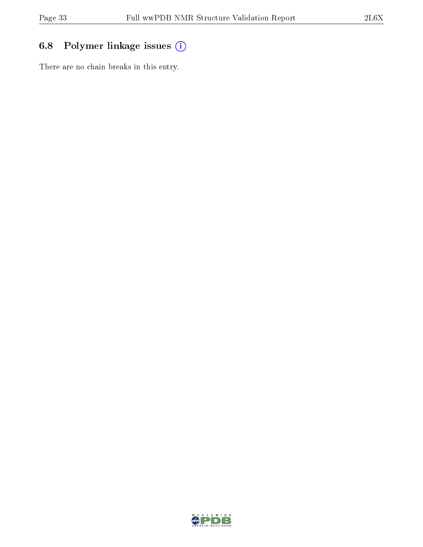## 6.8 Polymer linkage issues (i)

There are no chain breaks in this entry.

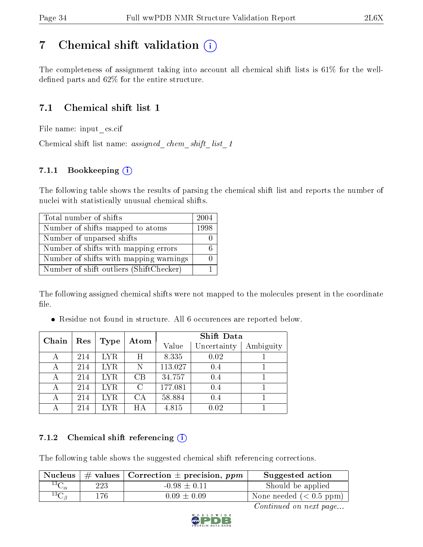# <span id="page-33-0"></span>7 Chemical shift validation  $(i)$

The completeness of assignment taking into account all chemical shift lists is 61% for the welldefined parts and  $62\%$  for the entire structure.

#### 7.1 Chemical shift list 1

File name: input\_cs.cif

Chemical shift list name: assigned chem shift list 1

#### 7.1.1 Bookkeeping (i)

The following table shows the results of parsing the chemical shift list and reports the number of nuclei with statistically unusual chemical shifts.

| Total number of shifts                  | 2004 |
|-----------------------------------------|------|
| Number of shifts mapped to atoms        | 1998 |
| Number of unparsed shifts               |      |
| Number of shifts with mapping errors    |      |
| Number of shifts with mapping warnings  |      |
| Number of shift outliers (ShiftChecker) |      |

The following assigned chemical shifts were not mapped to the molecules present in the coordinate file.

Residue not found in structure. All 6 occurences are reported below.

| Chain | Res | <b>Type</b> | Atom          | <b>Shift Data</b> |             |           |  |
|-------|-----|-------------|---------------|-------------------|-------------|-----------|--|
|       |     |             |               | Value             | Uncertainty | Ambiguity |  |
|       | 214 | LYR.        | Η             | 8.335             | 0.02        |           |  |
|       | 214 | <b>LYR</b>  | Ν             | 113.027           | 0.4         |           |  |
| А     | 214 | <b>LYR</b>  | CB            | 34.757            | 0.4         |           |  |
| А     | 214 | <b>LYR</b>  | $\mathcal{C}$ | 177.081           | 0.4         |           |  |
| А     | 214 | LYR.        | CA            | 58.884            | 0.4         |           |  |
|       | 214 | LYR.        | HА            | 4.815             | 0.02        |           |  |

#### 7.1.2 Chemical shift referencing  $(i)$

The following table shows the suggested chemical shift referencing corrections.

| Nucleus            |     | $\vert \#$ values $\vert$ Correction $\pm$ precision, ppm | Suggested action        |
|--------------------|-----|-----------------------------------------------------------|-------------------------|
| $^{13}C_{\alpha}$  | 223 | $-0.98 \pm 0.11$                                          | Should be applied       |
| ${}^{13}C_{\beta}$ | 176 | $0.09 \pm 0.09$                                           | None needed $(0.5 ppm)$ |

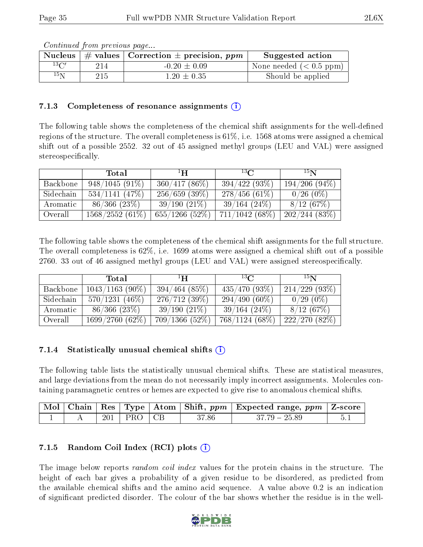|                | conveniu ou province providential |                                                                   |                         |
|----------------|-----------------------------------|-------------------------------------------------------------------|-------------------------|
|                |                                   | Nucleus $\vert \#$ values $\vert$ Correction $\pm$ precision, ppm | Suggested action        |
| $13\text{C}$   | 214                               | $-0.20 \pm 0.09$                                                  | None needed $(0.5 ppm)$ |
| $^{15}{\rm N}$ | 215                               | $1.20 \pm 0.35$                                                   | Should be applied       |

#### 7.1.3 Completeness of resonance assignments  $(i)$

The following table shows the completeness of the chemical shift assignments for the well-defined regions of the structure. The overall completeness is 61%, i.e. 1568 atoms were assigned a chemical shift out of a possible 2552. 32 out of 45 assigned methyl groups (LEU and VAL) were assigned stereospecifically.

|           | Total             | $\rm ^{1}H$       | $^{13}C$         | 15N             |
|-----------|-------------------|-------------------|------------------|-----------------|
| Backbone  | $948/1045(91\%)$  | $360/417(86\%)$   | $394/422(93\%)$  | $194/206(94\%)$ |
| Sidechain | 534/1141(47%)     | 256/659(39%)      | $278/456(61\%)$  | $0/26(0\%)$     |
| Aromatic  | $86/366$ $(23\%)$ | 39/190(21%)       | 39/164(24%)      | 8/12(67%)       |
| Overall   | $1568/2552(61\%)$ | $655/1266$ (52\%) | $711/1042(68\%)$ | 202/244(83%)    |

The following table shows the completeness of the chemical shift assignments for the full structure. The overall completeness is 62%, i.e. 1699 atoms were assigned a chemical shift out of a possible 2760. 33 out of 46 assigned methyl groups (LEU and VAL) were assigned stereospecifically.

|           | Total             | $\mathbf{H}^1$ | $13\Omega$       | 15 <sub>N</sub>  |
|-----------|-------------------|----------------|------------------|------------------|
| Backbone  | $1043/1163(90\%)$ | 394/464(85%)   | $435/470(93\%)$  | $214/229$ (93\%) |
| Sidechain | $570/1231(46\%)$  | 276/712(39%)   | $294/490(60\%)$  | $0/29(0\%)$      |
| Aromatic  | $86/366$ $(23\%)$ | 39/190(21%)    | 39/164(24%)      | 8/12(67%)        |
| Overall   | 1699/2760(62%)    | 709/1366(52%)  | $768/1124(68\%)$ | 222/270(82%)     |

#### 7.1.4 Statistically unusual chemical shifts  $(i)$

The following table lists the statistically unusual chemical shifts. These are statistical measures, and large deviations from the mean do not necessarily imply incorrect assignments. Molecules containing paramagnetic centres or hemes are expected to give rise to anomalous chemical shifts.

| Mol | Chain |         |     |       | Res   Type   Atom   Shift, $ppm$   Expected range, $ppm$   Z-score |  |
|-----|-------|---------|-----|-------|--------------------------------------------------------------------|--|
|     |       | $201\,$ | PRO | 37.86 | $37.79 - 25.89$                                                    |  |

#### 7.1.5 Random Coil Index  $(RCI)$  plots  $(i)$

The image below reports *random coil index* values for the protein chains in the structure. The height of each bar gives a probability of a given residue to be disordered, as predicted from the available chemical shifts and the amino acid sequence. A value above 0.2 is an indication of signicant predicted disorder. The colour of the bar shows whether the residue is in the well-